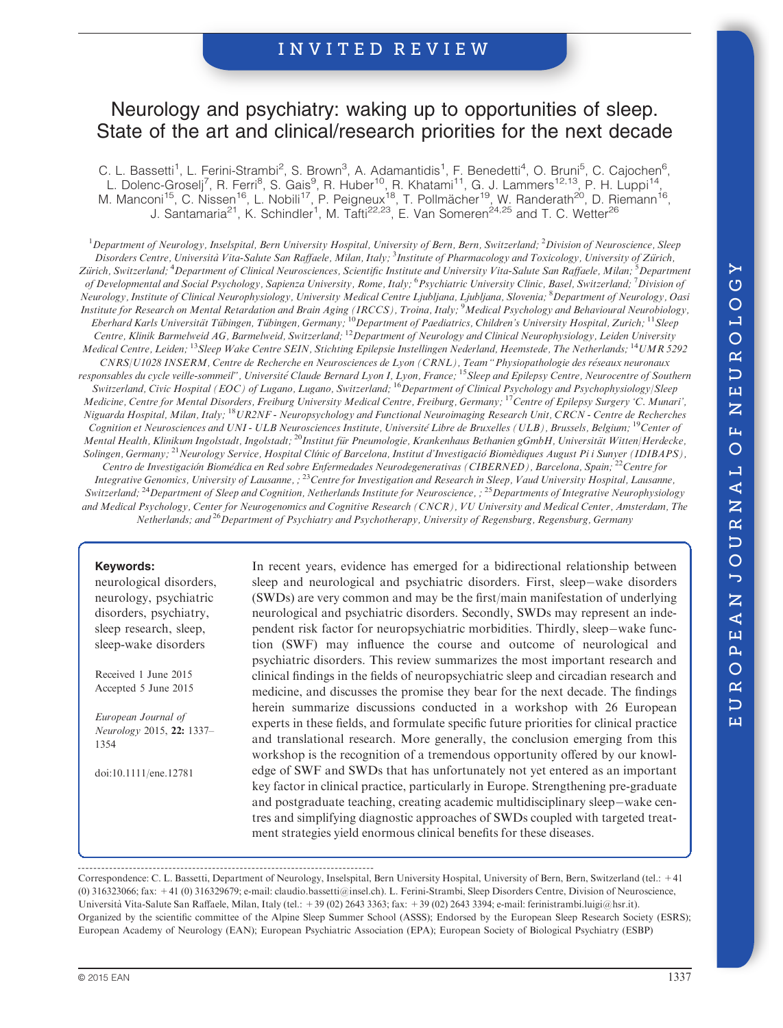# Neurology and psychiatry: waking up to opportunities of sleep. State of the art and clinical/research priorities for the next decade

C. L. Bassetti<sup>1</sup>, L. Ferini-Strambi<sup>2</sup>, S. Brown<sup>3</sup>, A. Adamantidis<sup>1</sup>, F. Benedetti<sup>4</sup>, O. Bruni<sup>5</sup>, C. Cajochen<sup>6</sup> , L. Dolenc-Groselj<sup>7</sup>, R. Ferri<sup>8</sup>, S. Gais<sup>9</sup>, R. Huber<sup>10</sup>, R. Khatami<sup>11</sup>, G. J. Lammers<sup>12,13</sup>, P. H. Luppi<sup>14</sup>, M. Manconi<sup>15</sup>, C. Nissen<sup>16</sup>, L. Nobili<sup>17</sup>, P. Peigneux<sup>18</sup>, T. Pollmächer<sup>19</sup>, W. Randerath<sup>20</sup>, D. Riemann<sup>16</sup>, J. Santamaria<sup>21</sup>, K. Schindler<sup>1</sup>, M. Tafti<sup>22,23</sup>, E. Van Someren<sup>24,25</sup> and T. C. Wetter<sup>26</sup>

<sup>1</sup> Department of Neurology, Inselspital, Bern University Hospital, University of Bern, Bern, Switzerland; <sup>2</sup> Division of Neuroscience, Sleep Disorders Centre, Università Vita-Salute San Raffaele, Milan, Italy; <sup>3</sup>Institute of Pharmacology and Toxicology, University of Zürich, Zürich, Switzerland; <sup>4</sup>Department of Clinical Neurosciences, Scientific Institute and University Vita-Salute San Raffaele, Milan; <sup>5</sup>Department of Developmental and Social Psychology, Sapienza University, Rome, Italy; <sup>6</sup>Psychiatric University Clinic, Basel, Switzerland; <sup>7</sup>Division of Neurology, Institute of Clinical Neurophysiology, University Medical Centre Ljubljana, Ljubljana, Slovenia; <sup>8</sup>Department of Neurology, Oasi Institute for Research on Mental Retardation and Brain Aging (IRCCS), Troina, Italy;<sup>9</sup>Medical Psychology and Behavioural Neurobiology, Eberhard Karls Universität Tübingen, Tübingen, Germany; <sup>10</sup>Department of Paediatrics, Children's University Hospital, Zurich; <sup>11</sup>Sleep Centre, Klinik Barmelweid AG, Barmelweid, Switzerland; <sup>12</sup>Department of Neurology and Clinical Neurophysiology, Leiden University Medical Centre, Leiden; <sup>13</sup>Sleep Wake Centre SEIN, Stichting Epilepsie Instellingen Nederland, Heemstede, The Netherlands; <sup>14</sup>UMR 5292 CNRS/U1028 INSERM, Centre de Recherche en Neurosciences de Lyon (CRNL), Team "Physiopathologie des reseaux neuronaux responsables du cycle veille-sommeil", Université Claude Bernard Lyon I, Lyon, France; <sup>15</sup>Sleep and Epilepsy Centre, Neurocentre of Southern Switzerland, Civic Hospital (EOC) of Lugano, Lugano, Switzerland; <sup>16</sup>Department of Clinical Psychology and Psychophysiology/Sleep Medicine, Centre for Mental Disorders, Freiburg University Medical Centre, Freiburg, Germany; <sup>17</sup>Centre of Epilepsy Surgery 'C. Munari', Niguarda Hospital, Milan, Italy; <sup>18</sup>UR2NF - Neuropsychology and Functional Neuroimaging Research Unit, CRCN - Centre de Recherches Cognition et Neurosciences and UNI - ULB Neurosciences Institute, Université Libre de Bruxelles (ULB), Brussels, Belgium; <sup>19</sup>Center of Mental Health, Klinikum Ingolstadt, Ingolstadt; <sup>20</sup>Institut für Pneumologie, Krankenhaus Bethanien gGmbH, Universität Witten/Herdecke, Solingen, Germany; <sup>21</sup> Neurology Service, Hospital Clínic of Barcelona, Institut d'Investigació Biomèdiques August Pi i Sunyer (IDIBAPS), Centro de Investigación Biomédica en Red sobre Enfermedades Neurodegenerativas (CIBERNED), Barcelona, Spain; <sup>22</sup>Centre for Integrative Genomics, University of Lausanne, ; <sup>23</sup>Centre for Investigation and Research in Sleep, Vaud University Hospital, Lausanne, Switzerland; <sup>24</sup>Department of Sleep and Cognition, Netherlands Institute for Neuroscience, ; <sup>25</sup>Departments of Integrative Neurophysiology and Medical Psychology, Center for Neurogenomics and Cognitive Research (CNCR), VU University and Medical Center, Amsterdam, The Netherlands; and <sup>26</sup>Department of Psychiatry and Psychotherapy, University of Regensburg, Regensburg, Germany

### Keywords:

neurological disorders, neurology, psychiatric disorders, psychiatry, sleep research, sleep, sleep-wake disorders

Received 1 June 2015 Accepted 5 June 2015

European Journal of Neurology 2015, 22: 1337– 1354

doi:10.1111/ene.12781

In recent years, evidence has emerged for a bidirectional relationship between sleep and neurological and psychiatric disorders. First, sleep—wake disorders (SWDs) are very common and may be the first/main manifestation of underlying neurological and psychiatric disorders. Secondly, SWDs may represent an independent risk factor for neuropsychiatric morbidities. Thirdly, sleep—wake function (SWF) may influence the course and outcome of neurological and psychiatric disorders. This review summarizes the most important research and clinical findings in the fields of neuropsychiatric sleep and circadian research and medicine, and discusses the promise they bear for the next decade. The findings herein summarize discussions conducted in a workshop with 26 European experts in these fields, and formulate specific future priorities for clinical practice and translational research. More generally, the conclusion emerging from this workshop is the recognition of a tremendous opportunity offered by our knowledge of SWF and SWDs that has unfortunately not yet entered as an important key factor in clinical practice, particularly in Europe. Strengthening pre-graduate and postgraduate teaching, creating academic multidisciplinary sleep—wake centres and simplifying diagnostic approaches of SWDs coupled with targeted treatment strategies yield enormous clinical benefits for these diseases.

Correspondence: C. L. Bassetti, Department of Neurology, Inselspital, Bern University Hospital, University of Bern, Bern, Switzerland (tel.: +41 (0) 316323066; fax: +41 (0) 316329679; e-mail: claudio.bassetti@insel.ch). L. Ferini-Strambi, Sleep Disorders Centre, Division of Neuroscience, Università Vita-Salute San Raffaele, Milan, Italy (tel.: +39 (02) 2643 3363; fax: +39 (02) 2643 3394; e-mail: ferinistrambi.luigi@hsr.it). Organized by the scientific committee of the Alpine Sleep Summer School (ASSS); Endorsed by the European Sleep Research Society (ESRS); European Academy of Neurology (EAN); European Psychiatric Association (EPA); European Society of Biological Psychiatry (ESBP)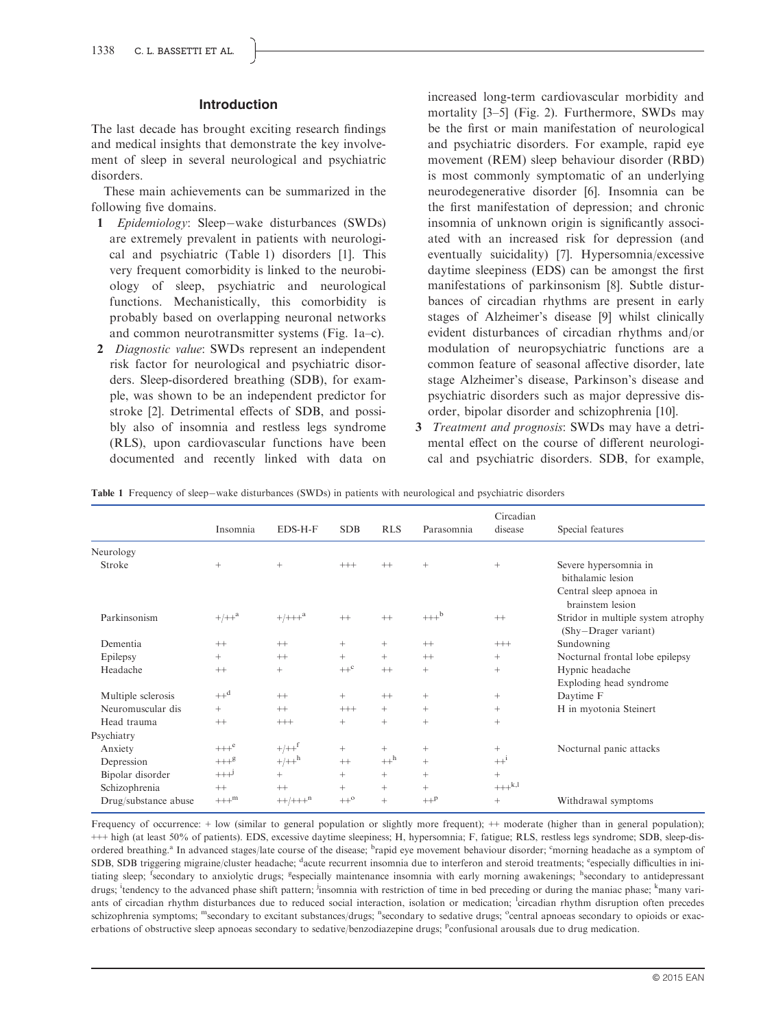# Introduction

The last decade has brought exciting research findings and medical insights that demonstrate the key involvement of sleep in several neurological and psychiatric disorders.

These main achievements can be summarized in the following five domains.

- 1 Epidemiology: Sleep-wake disturbances (SWDs) are extremely prevalent in patients with neurological and psychiatric (Table 1) disorders [1]. This very frequent comorbidity is linked to the neurobiology of sleep, psychiatric and neurological functions. Mechanistically, this comorbidity is probably based on overlapping neuronal networks and common neurotransmitter systems (Fig. 1a–c).
- 2 Diagnostic value: SWDs represent an independent risk factor for neurological and psychiatric disorders. Sleep-disordered breathing (SDB), for example, was shown to be an independent predictor for stroke [2]. Detrimental effects of SDB, and possibly also of insomnia and restless legs syndrome (RLS), upon cardiovascular functions have been documented and recently linked with data on

increased long-term cardiovascular morbidity and mortality [3–5] (Fig. 2). Furthermore, SWDs may be the first or main manifestation of neurological and psychiatric disorders. For example, rapid eye movement (REM) sleep behaviour disorder (RBD) is most commonly symptomatic of an underlying neurodegenerative disorder [6]. Insomnia can be the first manifestation of depression; and chronic insomnia of unknown origin is significantly associated with an increased risk for depression (and eventually suicidality) [7]. Hypersomnia/excessive daytime sleepiness (EDS) can be amongst the first manifestations of parkinsonism [8]. Subtle disturbances of circadian rhythms are present in early stages of Alzheimer's disease [9] whilst clinically evident disturbances of circadian rhythms and/or modulation of neuropsychiatric functions are a common feature of seasonal affective disorder, late stage Alzheimer's disease, Parkinson's disease and psychiatric disorders such as major depressive disorder, bipolar disorder and schizophrenia [10].

3 Treatment and prognosis: SWDs may have a detrimental effect on the course of different neurological and psychiatric disorders. SDB, for example,

Table 1 Frequency of sleep-wake disturbances (SWDs) in patients with neurological and psychiatric disorders

|                      |                    |                     |              |            |               | Circadian   |                                                            |
|----------------------|--------------------|---------------------|--------------|------------|---------------|-------------|------------------------------------------------------------|
|                      | Insomnia           | $EDS-H-F$           | <b>SDB</b>   | <b>RLS</b> | Parasomnia    | disease     | Special features                                           |
| Neurology            |                    |                     |              |            |               |             |                                                            |
| Stroke               | $^{+}$             | $^{+}$              | $^{+++}$     | $^{++}$    | $^{+}$        | $^{+}$      | Severe hypersomnia in<br>bithalamic lesion                 |
|                      |                    |                     |              |            |               |             | Central sleep apnoea in<br>brainstem lesion                |
| Parkinsonism         | $+/++a$            | $+/+++a$            | $^{++}$      | $^{++}$    | $+++^{\rm b}$ | $^{++}$     | Stridor in multiple system atrophy<br>(Shy-Drager variant) |
| Dementia             | $^{++}$            | $^{++}$             | $^{+}$       | $+$        | $++$          | $^{+++}$    | Sundowning                                                 |
| Epilepsy             | $^{+}$             | $++$                | $+$          | $+$        | $^{++}$       | $+$         | Nocturnal frontal lobe epilepsy                            |
| Headache             | $^{++}$            | $+$                 | $++^c$       | $^{++}$    | $^{+}$        | $+$         | Hypnic headache                                            |
|                      |                    |                     |              |            |               |             | Exploding head syndrome                                    |
| Multiple sclerosis   | $++^d$             | $++$                | $+$          | $^{++}$    | $^{+}$        | $+$         | Daytime F                                                  |
| Neuromuscular dis    | $+$                | $++$                | $^{+++}$     | $+$        | $^{+}$        | $^{+}$      | H in myotonia Steinert                                     |
| Head trauma          | $^{++}$            | $^{+++}$            | $^{+}$       | $+$        | $^{+}$        | $+$         |                                                            |
| Psychiatry           |                    |                     |              |            |               |             |                                                            |
| Anxiety              | $+++e$             | $+/++$ <sup>f</sup> | $^{+}$       | $+$        | $^{+}$        | $+$         | Nocturnal panic attacks                                    |
| Depression           | $+++{}^g$          | $+/++h$             | $^{++}$      | $++^h$     | $+$           | $++^1$      |                                                            |
| Bipolar disorder     | $+++$ <sup>j</sup> | $+$                 | $^{+}$       | $+$        | $^{+}$        | $+$         |                                                            |
| Schizophrenia        | $^{++}$            | $++$                | $+$          | $+$        | $^{+}$        | $+++^{k,1}$ |                                                            |
| Drug/substance abuse | $^{+++m}$          | $++/+++n$           | $++^{\circ}$ | $+$        | $++^{\rm p}$  | $+$         | Withdrawal symptoms                                        |

Frequency of occurrence: + low (similar to general population or slightly more frequent); ++ moderate (higher than in general population); +++ high (at least 50% of patients). EDS, excessive daytime sleepiness; H, hypersomnia; F, fatigue; RLS, restless legs syndrome; SDB, sleep-disordered breathing.<sup>a</sup> In advanced stages/late course of the disease; <sup>b</sup>rapid eye movement behaviour disorder; <sup>c</sup>morning headache as a symptom of SDB, SDB triggering migraine/cluster headache; dacute recurrent insomnia due to interferon and steroid treatments; especially difficulties in initiating sleep; fsecondary to anxiolytic drugs; <sup>g</sup>especially maintenance insomnia with early morning awakenings; hsecondary to antidepressant drugs; <sup>i</sup>tendency to the advanced phase shift pattern; <sup>j</sup>insomnia with restriction of time in bed preceding or during the maniac phase; <sup>k</sup>many variants of circadian rhythm disturbances due to reduced social interaction, isolation or medication; <sup>1</sup>circadian rhythm disruption often precedes schizophrenia symptoms; <sup>m</sup>secondary to excitant substances/drugs; <sup>n</sup>secondary to sedative drugs; <sup>o</sup>central apnoeas secondary to opioids or exacerbations of obstructive sleep apnoeas secondary to sedative/benzodiazepine drugs; <sup>p</sup>confusional arousals due to drug medication.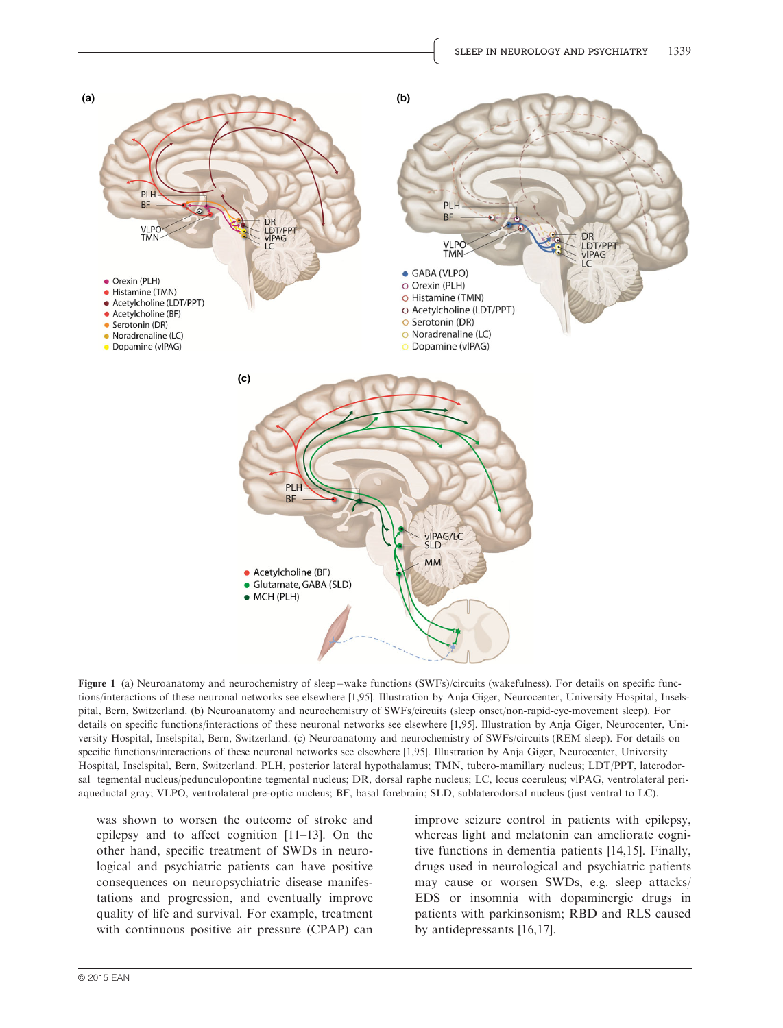

Figure 1 (a) Neuroanatomy and neurochemistry of sleep-wake functions (SWFs)/circuits (wakefulness). For details on specific functions/interactions of these neuronal networks see elsewhere [1,95]. Illustration by Anja Giger, Neurocenter, University Hospital, Inselspital, Bern, Switzerland. (b) Neuroanatomy and neurochemistry of SWFs/circuits (sleep onset/non-rapid-eye-movement sleep). For details on specific functions/interactions of these neuronal networks see elsewhere [1,95]. Illustration by Anja Giger, Neurocenter, University Hospital, Inselspital, Bern, Switzerland. (c) Neuroanatomy and neurochemistry of SWFs/circuits (REM sleep). For details on specific functions/interactions of these neuronal networks see elsewhere [1,95]. Illustration by Anja Giger, Neurocenter, University Hospital, Inselspital, Bern, Switzerland. PLH, posterior lateral hypothalamus; TMN, tubero-mamillary nucleus; LDT/PPT, laterodorsal tegmental nucleus/pedunculopontine tegmental nucleus; DR, dorsal raphe nucleus; LC, locus coeruleus; vlPAG, ventrolateral periaqueductal gray; VLPO, ventrolateral pre-optic nucleus; BF, basal forebrain; SLD, sublaterodorsal nucleus (just ventral to LC).

was shown to worsen the outcome of stroke and epilepsy and to affect cognition [11–13]. On the other hand, specific treatment of SWDs in neurological and psychiatric patients can have positive consequences on neuropsychiatric disease manifestations and progression, and eventually improve quality of life and survival. For example, treatment with continuous positive air pressure (CPAP) can improve seizure control in patients with epilepsy, whereas light and melatonin can ameliorate cognitive functions in dementia patients [14,15]. Finally, drugs used in neurological and psychiatric patients may cause or worsen SWDs, e.g. sleep attacks/ EDS or insomnia with dopaminergic drugs in patients with parkinsonism; RBD and RLS caused by antidepressants [16,17].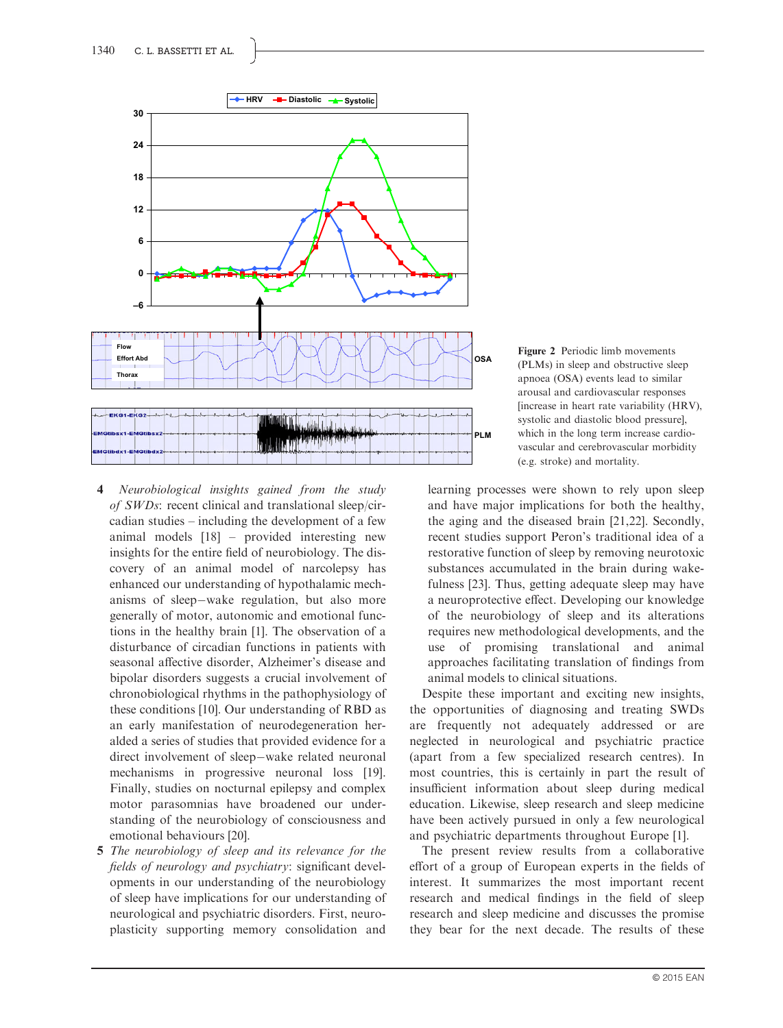

- 4 Neurobiological insights gained from the study of SWDs: recent clinical and translational sleep/circadian studies – including the development of a few animal models [18] – provided interesting new insights for the entire field of neurobiology. The discovery of an animal model of narcolepsy has enhanced our understanding of hypothalamic mechanisms of sleep-wake regulation, but also more generally of motor, autonomic and emotional functions in the healthy brain [1]. The observation of a disturbance of circadian functions in patients with seasonal affective disorder, Alzheimer's disease and bipolar disorders suggests a crucial involvement of chronobiological rhythms in the pathophysiology of these conditions [10]. Our understanding of RBD as an early manifestation of neurodegeneration heralded a series of studies that provided evidence for a direct involvement of sleep-wake related neuronal mechanisms in progressive neuronal loss [19]. Finally, studies on nocturnal epilepsy and complex motor parasomnias have broadened our understanding of the neurobiology of consciousness and emotional behaviours [20].
- 5 The neurobiology of sleep and its relevance for the fields of neurology and psychiatry: significant developments in our understanding of the neurobiology of sleep have implications for our understanding of neurological and psychiatric disorders. First, neuroplasticity supporting memory consolidation and

Figure 2 Periodic limb movements (PLMs) in sleep and obstructive sleep apnoea (OSA) events lead to similar arousal and cardiovascular responses [increase in heart rate variability (HRV), systolic and diastolic blood pressure], which in the long term increase cardiovascular and cerebrovascular morbidity (e.g. stroke) and mortality.

learning processes were shown to rely upon sleep and have major implications for both the healthy, the aging and the diseased brain [21,22]. Secondly, recent studies support Peron's traditional idea of a restorative function of sleep by removing neurotoxic substances accumulated in the brain during wakefulness [23]. Thus, getting adequate sleep may have a neuroprotective effect. Developing our knowledge of the neurobiology of sleep and its alterations requires new methodological developments, and the use of promising translational and animal approaches facilitating translation of findings from animal models to clinical situations.

Despite these important and exciting new insights, the opportunities of diagnosing and treating SWDs are frequently not adequately addressed or are neglected in neurological and psychiatric practice (apart from a few specialized research centres). In most countries, this is certainly in part the result of insufficient information about sleep during medical education. Likewise, sleep research and sleep medicine have been actively pursued in only a few neurological and psychiatric departments throughout Europe [1].

The present review results from a collaborative effort of a group of European experts in the fields of interest. It summarizes the most important recent research and medical findings in the field of sleep research and sleep medicine and discusses the promise they bear for the next decade. The results of these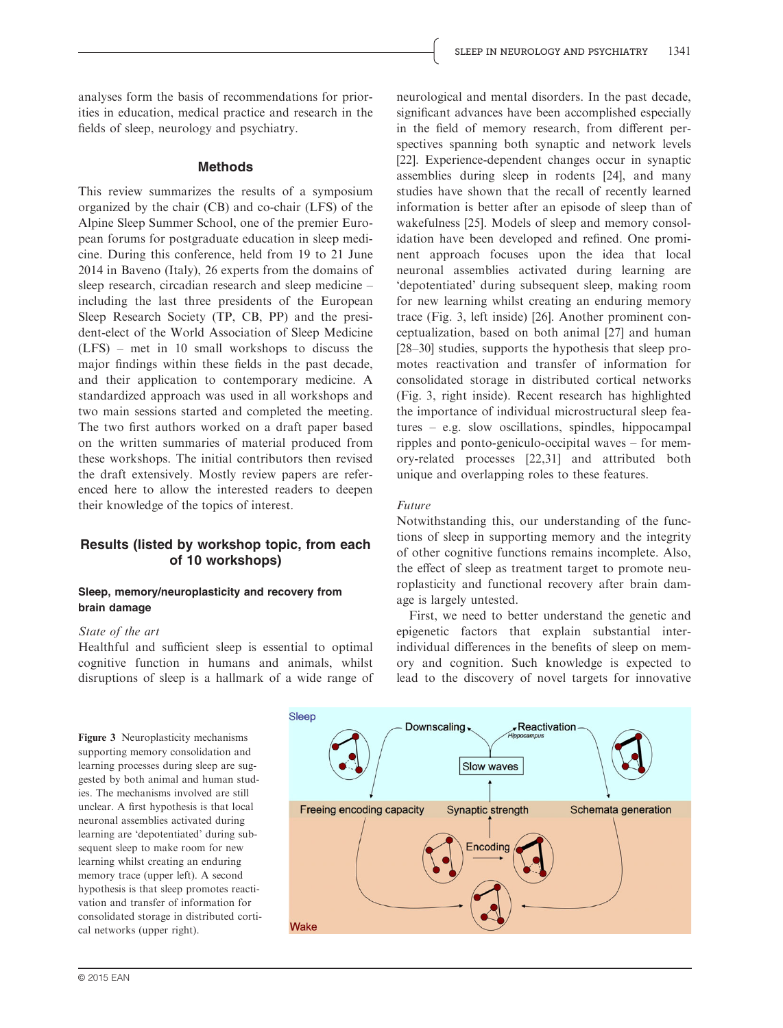analyses form the basis of recommendations for priorities in education, medical practice and research in the fields of sleep, neurology and psychiatry.

#### Methods

This review summarizes the results of a symposium organized by the chair (CB) and co-chair (LFS) of the Alpine Sleep Summer School, one of the premier European forums for postgraduate education in sleep medicine. During this conference, held from 19 to 21 June 2014 in Baveno (Italy), 26 experts from the domains of sleep research, circadian research and sleep medicine – including the last three presidents of the European Sleep Research Society (TP, CB, PP) and the president-elect of the World Association of Sleep Medicine (LFS) – met in 10 small workshops to discuss the major findings within these fields in the past decade, and their application to contemporary medicine. A standardized approach was used in all workshops and two main sessions started and completed the meeting. The two first authors worked on a draft paper based on the written summaries of material produced from these workshops. The initial contributors then revised the draft extensively. Mostly review papers are referenced here to allow the interested readers to deepen their knowledge of the topics of interest.

### Results (listed by workshop topic, from each of 10 workshops)

#### Sleep, memory/neuroplasticity and recovery from brain damage

#### State of the art

Healthful and sufficient sleep is essential to optimal cognitive function in humans and animals, whilst disruptions of sleep is a hallmark of a wide range of

neurological and mental disorders. In the past decade, significant advances have been accomplished especially in the field of memory research, from different perspectives spanning both synaptic and network levels [22]. Experience-dependent changes occur in synaptic assemblies during sleep in rodents [24], and many studies have shown that the recall of recently learned information is better after an episode of sleep than of wakefulness [25]. Models of sleep and memory consolidation have been developed and refined. One prominent approach focuses upon the idea that local neuronal assemblies activated during learning are 'depotentiated' during subsequent sleep, making room for new learning whilst creating an enduring memory trace (Fig. 3, left inside) [26]. Another prominent conceptualization, based on both animal [27] and human [28–30] studies, supports the hypothesis that sleep promotes reactivation and transfer of information for consolidated storage in distributed cortical networks (Fig. 3, right inside). Recent research has highlighted the importance of individual microstructural sleep features – e.g. slow oscillations, spindles, hippocampal ripples and ponto-geniculo-occipital waves – for memory-related processes [22,31] and attributed both unique and overlapping roles to these features.

#### Future

Notwithstanding this, our understanding of the functions of sleep in supporting memory and the integrity of other cognitive functions remains incomplete. Also, the effect of sleep as treatment target to promote neuroplasticity and functional recovery after brain damage is largely untested.

First, we need to better understand the genetic and epigenetic factors that explain substantial interindividual differences in the benefits of sleep on memory and cognition. Such knowledge is expected to lead to the discovery of novel targets for innovative

Figure 3 Neuroplasticity mechanisms supporting memory consolidation and learning processes during sleep are suggested by both animal and human studies. The mechanisms involved are still unclear. A first hypothesis is that local neuronal assemblies activated during learning are 'depotentiated' during subsequent sleep to make room for new learning whilst creating an enduring memory trace (upper left). A second hypothesis is that sleep promotes reactivation and transfer of information for consolidated storage in distributed cortical networks (upper right).

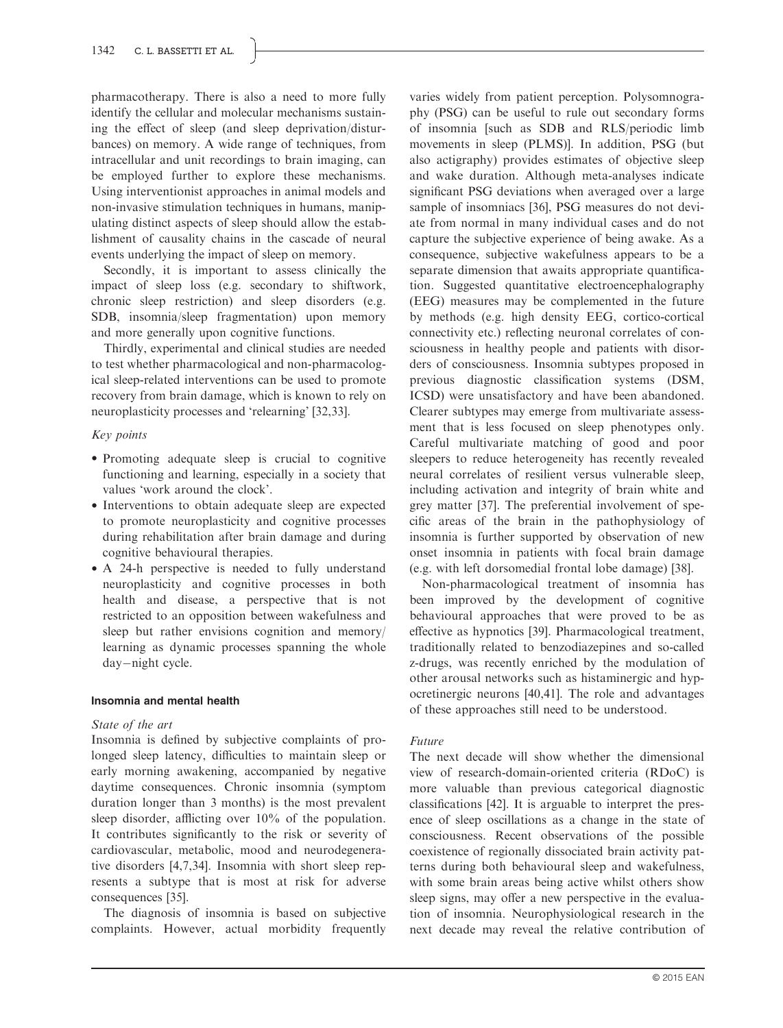pharmacotherapy. There is also a need to more fully identify the cellular and molecular mechanisms sustaining the effect of sleep (and sleep deprivation/disturbances) on memory. A wide range of techniques, from intracellular and unit recordings to brain imaging, can be employed further to explore these mechanisms. Using interventionist approaches in animal models and non-invasive stimulation techniques in humans, manipulating distinct aspects of sleep should allow the establishment of causality chains in the cascade of neural events underlying the impact of sleep on memory.

Secondly, it is important to assess clinically the impact of sleep loss (e.g. secondary to shiftwork, chronic sleep restriction) and sleep disorders (e.g. SDB, insomnia/sleep fragmentation) upon memory and more generally upon cognitive functions.

Thirdly, experimental and clinical studies are needed to test whether pharmacological and non-pharmacological sleep-related interventions can be used to promote recovery from brain damage, which is known to rely on neuroplasticity processes and 'relearning' [32,33].

### Key points

- Promoting adequate sleep is crucial to cognitive functioning and learning, especially in a society that values 'work around the clock'.
- Interventions to obtain adequate sleep are expected to promote neuroplasticity and cognitive processes during rehabilitation after brain damage and during cognitive behavioural therapies.
- A 24-h perspective is needed to fully understand neuroplasticity and cognitive processes in both health and disease, a perspective that is not restricted to an opposition between wakefulness and sleep but rather envisions cognition and memory/ learning as dynamic processes spanning the whole day-night cycle.

### Insomnia and mental health

# State of the art

Insomnia is defined by subjective complaints of prolonged sleep latency, difficulties to maintain sleep or early morning awakening, accompanied by negative daytime consequences. Chronic insomnia (symptom duration longer than 3 months) is the most prevalent sleep disorder, afflicting over 10% of the population. It contributes significantly to the risk or severity of cardiovascular, metabolic, mood and neurodegenerative disorders [4,7,34]. Insomnia with short sleep represents a subtype that is most at risk for adverse consequences [35].

The diagnosis of insomnia is based on subjective complaints. However, actual morbidity frequently varies widely from patient perception. Polysomnography (PSG) can be useful to rule out secondary forms of insomnia [such as SDB and RLS/periodic limb movements in sleep (PLMS)]. In addition, PSG (but also actigraphy) provides estimates of objective sleep and wake duration. Although meta-analyses indicate significant PSG deviations when averaged over a large sample of insomniacs [36], PSG measures do not deviate from normal in many individual cases and do not capture the subjective experience of being awake. As a consequence, subjective wakefulness appears to be a separate dimension that awaits appropriate quantification. Suggested quantitative electroencephalography (EEG) measures may be complemented in the future by methods (e.g. high density EEG, cortico-cortical connectivity etc.) reflecting neuronal correlates of consciousness in healthy people and patients with disorders of consciousness. Insomnia subtypes proposed in previous diagnostic classification systems (DSM, ICSD) were unsatisfactory and have been abandoned. Clearer subtypes may emerge from multivariate assessment that is less focused on sleep phenotypes only. Careful multivariate matching of good and poor sleepers to reduce heterogeneity has recently revealed neural correlates of resilient versus vulnerable sleep, including activation and integrity of brain white and grey matter [37]. The preferential involvement of specific areas of the brain in the pathophysiology of insomnia is further supported by observation of new onset insomnia in patients with focal brain damage (e.g. with left dorsomedial frontal lobe damage) [38].

Non-pharmacological treatment of insomnia has been improved by the development of cognitive behavioural approaches that were proved to be as effective as hypnotics [39]. Pharmacological treatment, traditionally related to benzodiazepines and so-called z-drugs, was recently enriched by the modulation of other arousal networks such as histaminergic and hypocretinergic neurons [40,41]. The role and advantages of these approaches still need to be understood.

# Future

The next decade will show whether the dimensional view of research-domain-oriented criteria (RDoC) is more valuable than previous categorical diagnostic classifications [42]. It is arguable to interpret the presence of sleep oscillations as a change in the state of consciousness. Recent observations of the possible coexistence of regionally dissociated brain activity patterns during both behavioural sleep and wakefulness, with some brain areas being active whilst others show sleep signs, may offer a new perspective in the evaluation of insomnia. Neurophysiological research in the next decade may reveal the relative contribution of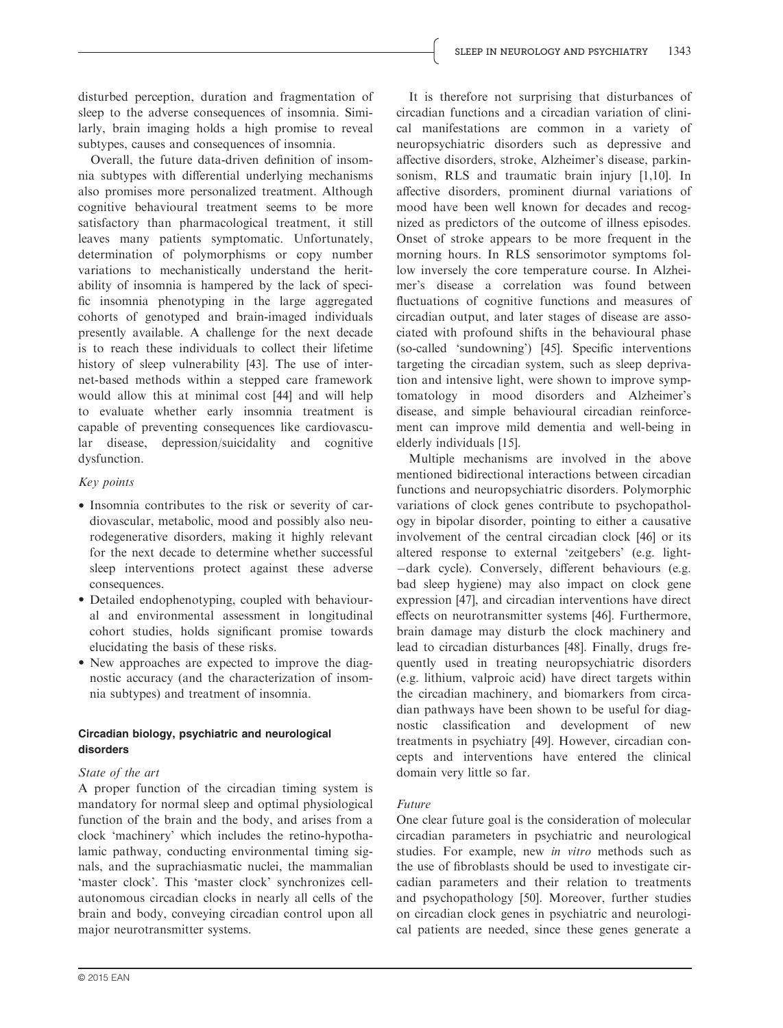disturbed perception, duration and fragmentation of sleep to the adverse consequences of insomnia. Similarly, brain imaging holds a high promise to reveal subtypes, causes and consequences of insomnia.

Overall, the future data-driven definition of insomnia subtypes with differential underlying mechanisms also promises more personalized treatment. Although cognitive behavioural treatment seems to be more satisfactory than pharmacological treatment, it still leaves many patients symptomatic. Unfortunately, determination of polymorphisms or copy number variations to mechanistically understand the heritability of insomnia is hampered by the lack of specific insomnia phenotyping in the large aggregated cohorts of genotyped and brain-imaged individuals presently available. A challenge for the next decade is to reach these individuals to collect their lifetime history of sleep vulnerability [43]. The use of internet-based methods within a stepped care framework would allow this at minimal cost [44] and will help to evaluate whether early insomnia treatment is capable of preventing consequences like cardiovascular disease, depression/suicidality and cognitive dysfunction.

# Key points

- Insomnia contributes to the risk or severity of cardiovascular, metabolic, mood and possibly also neurodegenerative disorders, making it highly relevant for the next decade to determine whether successful sleep interventions protect against these adverse consequences.
- Detailed endophenotyping, coupled with behavioural and environmental assessment in longitudinal cohort studies, holds significant promise towards elucidating the basis of these risks.
- New approaches are expected to improve the diagnostic accuracy (and the characterization of insomnia subtypes) and treatment of insomnia.

# Circadian biology, psychiatric and neurological disorders

# State of the art

A proper function of the circadian timing system is mandatory for normal sleep and optimal physiological function of the brain and the body, and arises from a clock 'machinery' which includes the retino-hypothalamic pathway, conducting environmental timing signals, and the suprachiasmatic nuclei, the mammalian 'master clock'. This 'master clock' synchronizes cellautonomous circadian clocks in nearly all cells of the brain and body, conveying circadian control upon all major neurotransmitter systems.

It is therefore not surprising that disturbances of circadian functions and a circadian variation of clinical manifestations are common in a variety of neuropsychiatric disorders such as depressive and affective disorders, stroke, Alzheimer's disease, parkinsonism, RLS and traumatic brain injury [1,10]. In affective disorders, prominent diurnal variations of mood have been well known for decades and recognized as predictors of the outcome of illness episodes. Onset of stroke appears to be more frequent in the morning hours. In RLS sensorimotor symptoms follow inversely the core temperature course. In Alzheimer's disease a correlation was found between fluctuations of cognitive functions and measures of circadian output, and later stages of disease are associated with profound shifts in the behavioural phase (so-called 'sundowning') [45]. Specific interventions targeting the circadian system, such as sleep deprivation and intensive light, were shown to improve symptomatology in mood disorders and Alzheimer's disease, and simple behavioural circadian reinforcement can improve mild dementia and well-being in elderly individuals [15].

Multiple mechanisms are involved in the above mentioned bidirectional interactions between circadian functions and neuropsychiatric disorders. Polymorphic variations of clock genes contribute to psychopathology in bipolar disorder, pointing to either a causative involvement of the central circadian clock [46] or its altered response to external 'zeitgebers' (e.g. light- -dark cycle). Conversely, different behaviours (e.g. bad sleep hygiene) may also impact on clock gene expression [47], and circadian interventions have direct effects on neurotransmitter systems [46]. Furthermore, brain damage may disturb the clock machinery and lead to circadian disturbances [48]. Finally, drugs frequently used in treating neuropsychiatric disorders (e.g. lithium, valproic acid) have direct targets within the circadian machinery, and biomarkers from circadian pathways have been shown to be useful for diagnostic classification and development of new treatments in psychiatry [49]. However, circadian concepts and interventions have entered the clinical domain very little so far.

# Future

One clear future goal is the consideration of molecular circadian parameters in psychiatric and neurological studies. For example, new in vitro methods such as the use of fibroblasts should be used to investigate circadian parameters and their relation to treatments and psychopathology [50]. Moreover, further studies on circadian clock genes in psychiatric and neurological patients are needed, since these genes generate a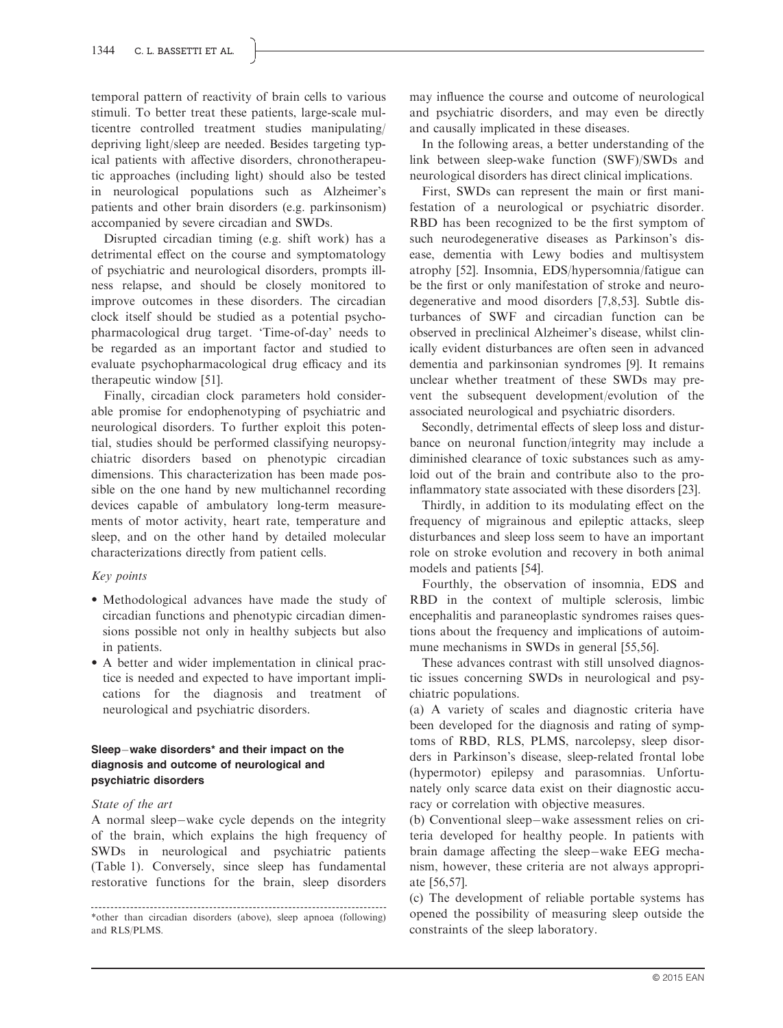temporal pattern of reactivity of brain cells to various stimuli. To better treat these patients, large-scale multicentre controlled treatment studies manipulating/ depriving light/sleep are needed. Besides targeting typical patients with affective disorders, chronotherapeutic approaches (including light) should also be tested in neurological populations such as Alzheimer's patients and other brain disorders (e.g. parkinsonism) accompanied by severe circadian and SWDs.

Disrupted circadian timing (e.g. shift work) has a detrimental effect on the course and symptomatology of psychiatric and neurological disorders, prompts illness relapse, and should be closely monitored to improve outcomes in these disorders. The circadian clock itself should be studied as a potential psychopharmacological drug target. 'Time-of-day' needs to be regarded as an important factor and studied to evaluate psychopharmacological drug efficacy and its therapeutic window [51].

Finally, circadian clock parameters hold considerable promise for endophenotyping of psychiatric and neurological disorders. To further exploit this potential, studies should be performed classifying neuropsychiatric disorders based on phenotypic circadian dimensions. This characterization has been made possible on the one hand by new multichannel recording devices capable of ambulatory long-term measurements of motor activity, heart rate, temperature and sleep, and on the other hand by detailed molecular characterizations directly from patient cells.

### Key points

- Methodological advances have made the study of circadian functions and phenotypic circadian dimensions possible not only in healthy subjects but also in patients.
- A better and wider implementation in clinical practice is needed and expected to have important implications for the diagnosis and treatment of neurological and psychiatric disorders.

# Sleep-wake disorders\* and their impact on the diagnosis and outcome of neurological and psychiatric disorders

#### State of the art

A normal sleep-wake cycle depends on the integrity of the brain, which explains the high frequency of SWDs in neurological and psychiatric patients (Table 1). Conversely, since sleep has fundamental restorative functions for the brain, sleep disorders

\*other than circadian disorders (above), sleep apnoea (following) and RLS/PLMS.

may influence the course and outcome of neurological and psychiatric disorders, and may even be directly and causally implicated in these diseases.

In the following areas, a better understanding of the link between sleep-wake function (SWF)/SWDs and neurological disorders has direct clinical implications.

First, SWDs can represent the main or first manifestation of a neurological or psychiatric disorder. RBD has been recognized to be the first symptom of such neurodegenerative diseases as Parkinson's disease, dementia with Lewy bodies and multisystem atrophy [52]. Insomnia, EDS/hypersomnia/fatigue can be the first or only manifestation of stroke and neurodegenerative and mood disorders [7,8,53]. Subtle disturbances of SWF and circadian function can be observed in preclinical Alzheimer's disease, whilst clinically evident disturbances are often seen in advanced dementia and parkinsonian syndromes [9]. It remains unclear whether treatment of these SWDs may prevent the subsequent development/evolution of the associated neurological and psychiatric disorders.

Secondly, detrimental effects of sleep loss and disturbance on neuronal function/integrity may include a diminished clearance of toxic substances such as amyloid out of the brain and contribute also to the proinflammatory state associated with these disorders [23].

Thirdly, in addition to its modulating effect on the frequency of migrainous and epileptic attacks, sleep disturbances and sleep loss seem to have an important role on stroke evolution and recovery in both animal models and patients [54].

Fourthly, the observation of insomnia, EDS and RBD in the context of multiple sclerosis, limbic encephalitis and paraneoplastic syndromes raises questions about the frequency and implications of autoimmune mechanisms in SWDs in general [55,56].

These advances contrast with still unsolved diagnostic issues concerning SWDs in neurological and psychiatric populations.

(a) A variety of scales and diagnostic criteria have been developed for the diagnosis and rating of symptoms of RBD, RLS, PLMS, narcolepsy, sleep disorders in Parkinson's disease, sleep-related frontal lobe (hypermotor) epilepsy and parasomnias. Unfortunately only scarce data exist on their diagnostic accuracy or correlation with objective measures.

 $(b)$  Conventional sleep-wake assessment relies on criteria developed for healthy people. In patients with brain damage affecting the sleep-wake EEG mechanism, however, these criteria are not always appropriate [56,57].

(c) The development of reliable portable systems has opened the possibility of measuring sleep outside the constraints of the sleep laboratory.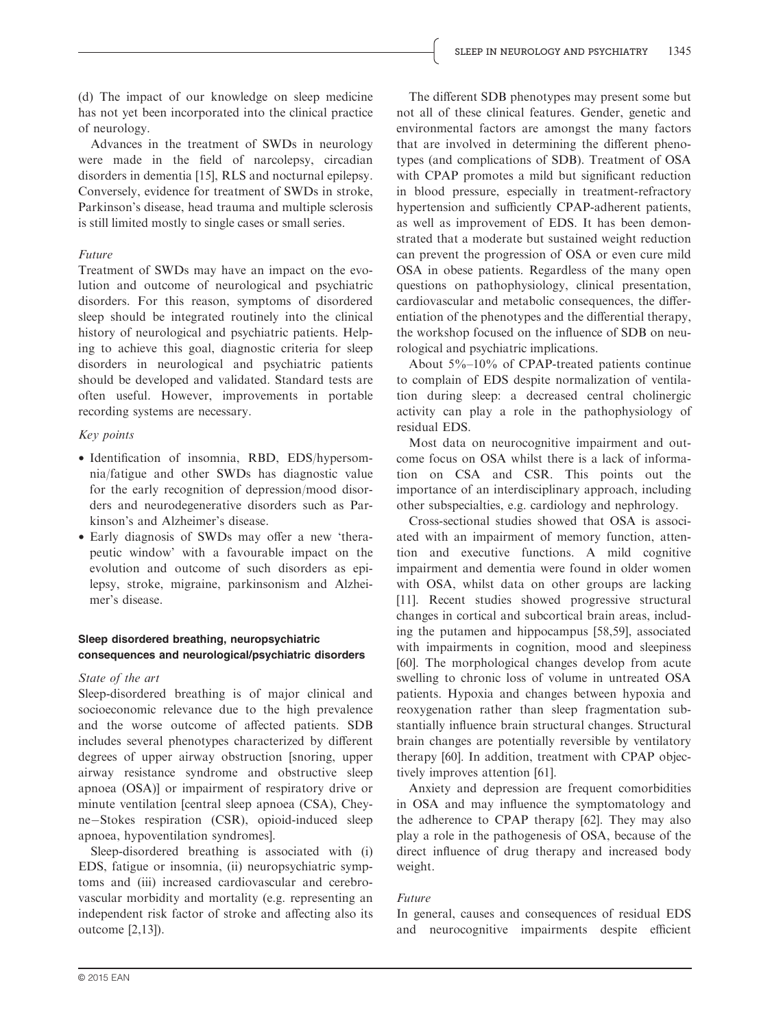(d) The impact of our knowledge on sleep medicine has not yet been incorporated into the clinical practice of neurology.

Advances in the treatment of SWDs in neurology were made in the field of narcolepsy, circadian disorders in dementia [15], RLS and nocturnal epilepsy. Conversely, evidence for treatment of SWDs in stroke, Parkinson's disease, head trauma and multiple sclerosis is still limited mostly to single cases or small series.

# Future

Treatment of SWDs may have an impact on the evolution and outcome of neurological and psychiatric disorders. For this reason, symptoms of disordered sleep should be integrated routinely into the clinical history of neurological and psychiatric patients. Helping to achieve this goal, diagnostic criteria for sleep disorders in neurological and psychiatric patients should be developed and validated. Standard tests are often useful. However, improvements in portable recording systems are necessary.

# Key points

- Identification of insomnia, RBD, EDS/hypersomnia/fatigue and other SWDs has diagnostic value for the early recognition of depression/mood disorders and neurodegenerative disorders such as Parkinson's and Alzheimer's disease.
- Early diagnosis of SWDs may offer a new 'therapeutic window' with a favourable impact on the evolution and outcome of such disorders as epilepsy, stroke, migraine, parkinsonism and Alzheimer's disease.

# Sleep disordered breathing, neuropsychiatric consequences and neurological/psychiatric disorders

# State of the art

Sleep-disordered breathing is of major clinical and socioeconomic relevance due to the high prevalence and the worse outcome of affected patients. SDB includes several phenotypes characterized by different degrees of upper airway obstruction [snoring, upper airway resistance syndrome and obstructive sleep apnoea (OSA)] or impairment of respiratory drive or minute ventilation [central sleep apnoea (CSA), Cheyne-Stokes respiration (CSR), opioid-induced sleep apnoea, hypoventilation syndromes].

Sleep-disordered breathing is associated with (i) EDS, fatigue or insomnia, (ii) neuropsychiatric symptoms and (iii) increased cardiovascular and cerebrovascular morbidity and mortality (e.g. representing an independent risk factor of stroke and affecting also its outcome [2,13]).

The different SDB phenotypes may present some but not all of these clinical features. Gender, genetic and environmental factors are amongst the many factors that are involved in determining the different phenotypes (and complications of SDB). Treatment of OSA with CPAP promotes a mild but significant reduction in blood pressure, especially in treatment-refractory hypertension and sufficiently CPAP-adherent patients, as well as improvement of EDS. It has been demonstrated that a moderate but sustained weight reduction can prevent the progression of OSA or even cure mild OSA in obese patients. Regardless of the many open questions on pathophysiology, clinical presentation, cardiovascular and metabolic consequences, the differentiation of the phenotypes and the differential therapy, the workshop focused on the influence of SDB on neurological and psychiatric implications.

About 5%–10% of CPAP-treated patients continue to complain of EDS despite normalization of ventilation during sleep: a decreased central cholinergic activity can play a role in the pathophysiology of residual EDS.

Most data on neurocognitive impairment and outcome focus on OSA whilst there is a lack of information on CSA and CSR. This points out the importance of an interdisciplinary approach, including other subspecialties, e.g. cardiology and nephrology.

Cross-sectional studies showed that OSA is associated with an impairment of memory function, attention and executive functions. A mild cognitive impairment and dementia were found in older women with OSA, whilst data on other groups are lacking [11]. Recent studies showed progressive structural changes in cortical and subcortical brain areas, including the putamen and hippocampus [58,59], associated with impairments in cognition, mood and sleepiness [60]. The morphological changes develop from acute swelling to chronic loss of volume in untreated OSA patients. Hypoxia and changes between hypoxia and reoxygenation rather than sleep fragmentation substantially influence brain structural changes. Structural brain changes are potentially reversible by ventilatory therapy [60]. In addition, treatment with CPAP objectively improves attention [61].

Anxiety and depression are frequent comorbidities in OSA and may influence the symptomatology and the adherence to CPAP therapy [62]. They may also play a role in the pathogenesis of OSA, because of the direct influence of drug therapy and increased body weight.

# Future

In general, causes and consequences of residual EDS and neurocognitive impairments despite efficient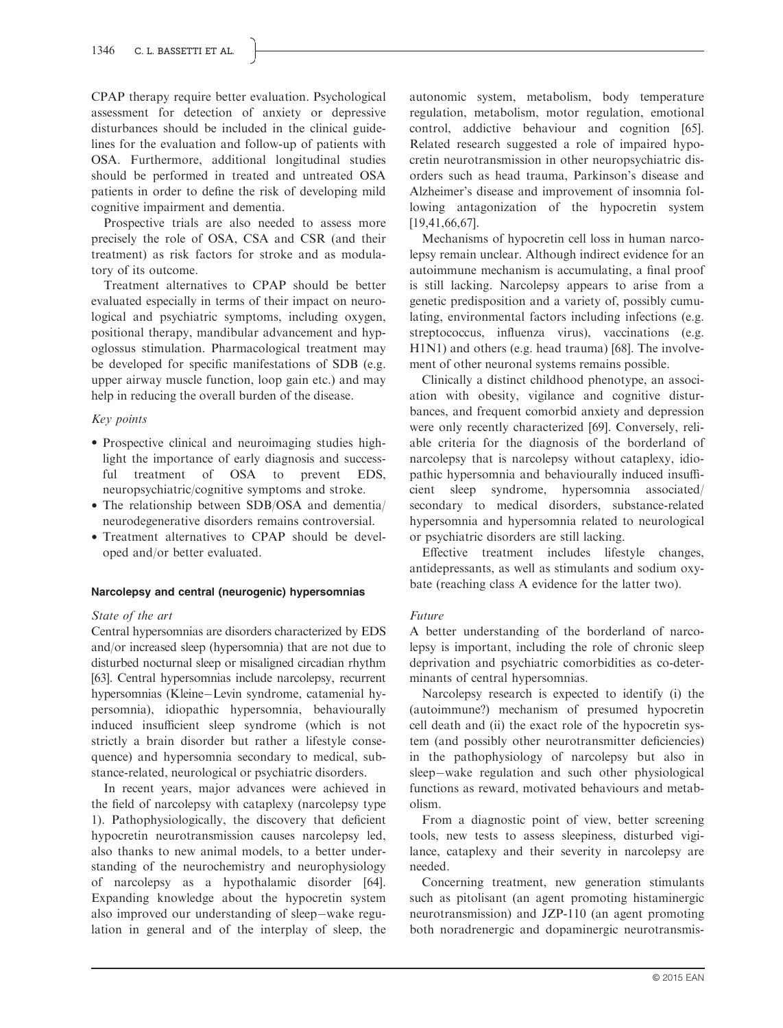CPAP therapy require better evaluation. Psychological assessment for detection of anxiety or depressive disturbances should be included in the clinical guidelines for the evaluation and follow-up of patients with OSA. Furthermore, additional longitudinal studies should be performed in treated and untreated OSA patients in order to define the risk of developing mild cognitive impairment and dementia.

Prospective trials are also needed to assess more precisely the role of OSA, CSA and CSR (and their treatment) as risk factors for stroke and as modulatory of its outcome.

Treatment alternatives to CPAP should be better evaluated especially in terms of their impact on neurological and psychiatric symptoms, including oxygen, positional therapy, mandibular advancement and hypoglossus stimulation. Pharmacological treatment may be developed for specific manifestations of SDB (e.g. upper airway muscle function, loop gain etc.) and may help in reducing the overall burden of the disease.

### Key points

- Prospective clinical and neuroimaging studies highlight the importance of early diagnosis and successful treatment of OSA to prevent EDS, neuropsychiatric/cognitive symptoms and stroke.
- The relationship between SDB/OSA and dementia/ neurodegenerative disorders remains controversial.
- Treatment alternatives to CPAP should be developed and/or better evaluated.

### Narcolepsy and central (neurogenic) hypersomnias

#### State of the art

Central hypersomnias are disorders characterized by EDS and/or increased sleep (hypersomnia) that are not due to disturbed nocturnal sleep or misaligned circadian rhythm [63]. Central hypersomnias include narcolepsy, recurrent hypersomnias (Kleine–Levin syndrome, catamenial hypersomnia), idiopathic hypersomnia, behaviourally induced insufficient sleep syndrome (which is not strictly a brain disorder but rather a lifestyle consequence) and hypersomnia secondary to medical, substance-related, neurological or psychiatric disorders.

In recent years, major advances were achieved in the field of narcolepsy with cataplexy (narcolepsy type 1). Pathophysiologically, the discovery that deficient hypocretin neurotransmission causes narcolepsy led, also thanks to new animal models, to a better understanding of the neurochemistry and neurophysiology of narcolepsy as a hypothalamic disorder [64]. Expanding knowledge about the hypocretin system also improved our understanding of sleep-wake regulation in general and of the interplay of sleep, the autonomic system, metabolism, body temperature regulation, metabolism, motor regulation, emotional control, addictive behaviour and cognition [65]. Related research suggested a role of impaired hypocretin neurotransmission in other neuropsychiatric disorders such as head trauma, Parkinson's disease and Alzheimer's disease and improvement of insomnia following antagonization of the hypocretin system [19,41,66,67].

Mechanisms of hypocretin cell loss in human narcolepsy remain unclear. Although indirect evidence for an autoimmune mechanism is accumulating, a final proof is still lacking. Narcolepsy appears to arise from a genetic predisposition and a variety of, possibly cumulating, environmental factors including infections (e.g. streptococcus, influenza virus), vaccinations (e.g. H1N1) and others (e.g. head trauma) [68]. The involvement of other neuronal systems remains possible.

Clinically a distinct childhood phenotype, an association with obesity, vigilance and cognitive disturbances, and frequent comorbid anxiety and depression were only recently characterized [69]. Conversely, reliable criteria for the diagnosis of the borderland of narcolepsy that is narcolepsy without cataplexy, idiopathic hypersomnia and behaviourally induced insufficient sleep syndrome, hypersomnia associated/ secondary to medical disorders, substance-related hypersomnia and hypersomnia related to neurological or psychiatric disorders are still lacking.

Effective treatment includes lifestyle changes, antidepressants, as well as stimulants and sodium oxybate (reaching class A evidence for the latter two).

### Future

A better understanding of the borderland of narcolepsy is important, including the role of chronic sleep deprivation and psychiatric comorbidities as co-determinants of central hypersomnias.

Narcolepsy research is expected to identify (i) the (autoimmune?) mechanism of presumed hypocretin cell death and (ii) the exact role of the hypocretin system (and possibly other neurotransmitter deficiencies) in the pathophysiology of narcolepsy but also in sleep-wake regulation and such other physiological functions as reward, motivated behaviours and metabolism.

From a diagnostic point of view, better screening tools, new tests to assess sleepiness, disturbed vigilance, cataplexy and their severity in narcolepsy are needed.

Concerning treatment, new generation stimulants such as pitolisant (an agent promoting histaminergic neurotransmission) and JZP-110 (an agent promoting both noradrenergic and dopaminergic neurotransmis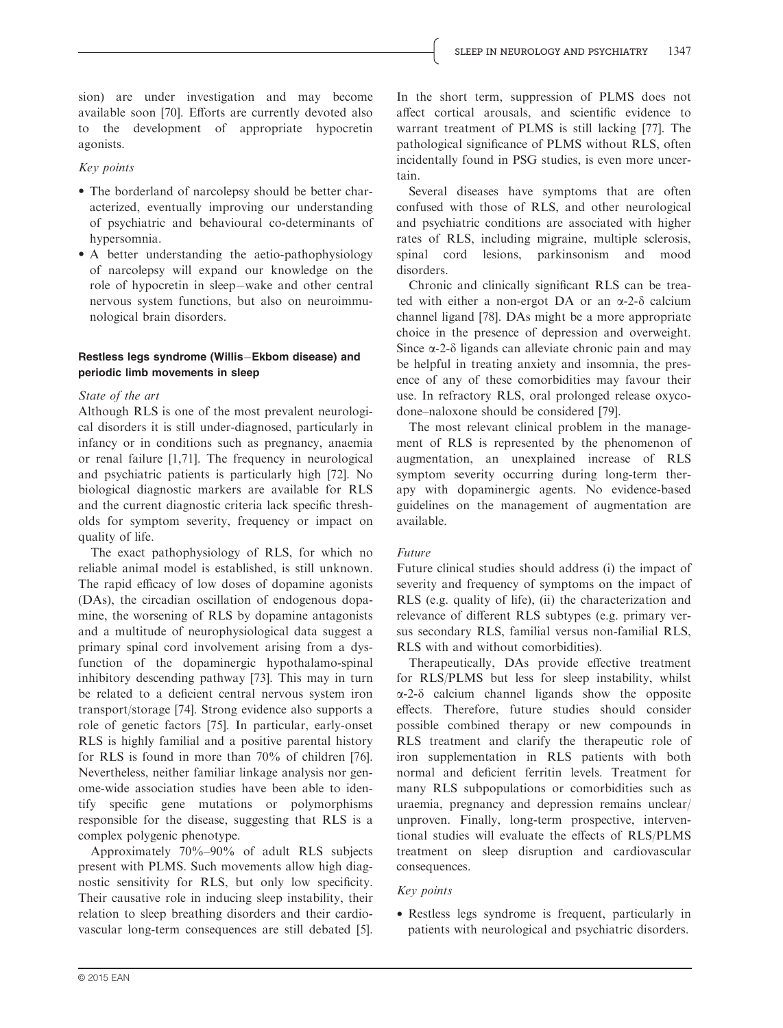sion) are under investigation and may become available soon [70]. Efforts are currently devoted also to the development of appropriate hypocretin agonists.

Key points

- The borderland of narcolepsy should be better characterized, eventually improving our understanding of psychiatric and behavioural co-determinants of hypersomnia.
- A better understanding the aetio-pathophysiology of narcolepsy will expand our knowledge on the role of hypocretin in sleep-wake and other central nervous system functions, but also on neuroimmunological brain disorders.

### Restless legs syndrome (Willis-Ekbom disease) and periodic limb movements in sleep

### State of the art

Although RLS is one of the most prevalent neurological disorders it is still under-diagnosed, particularly in infancy or in conditions such as pregnancy, anaemia or renal failure [1,71]. The frequency in neurological and psychiatric patients is particularly high [72]. No biological diagnostic markers are available for RLS and the current diagnostic criteria lack specific thresholds for symptom severity, frequency or impact on quality of life.

The exact pathophysiology of RLS, for which no reliable animal model is established, is still unknown. The rapid efficacy of low doses of dopamine agonists (DAs), the circadian oscillation of endogenous dopamine, the worsening of RLS by dopamine antagonists and a multitude of neurophysiological data suggest a primary spinal cord involvement arising from a dysfunction of the dopaminergic hypothalamo-spinal inhibitory descending pathway [73]. This may in turn be related to a deficient central nervous system iron transport/storage [74]. Strong evidence also supports a role of genetic factors [75]. In particular, early-onset RLS is highly familial and a positive parental history for RLS is found in more than 70% of children [76]. Nevertheless, neither familiar linkage analysis nor genome-wide association studies have been able to identify specific gene mutations or polymorphisms responsible for the disease, suggesting that RLS is a complex polygenic phenotype.

Approximately 70%–90% of adult RLS subjects present with PLMS. Such movements allow high diagnostic sensitivity for RLS, but only low specificity. Their causative role in inducing sleep instability, their relation to sleep breathing disorders and their cardiovascular long-term consequences are still debated [5].

In the short term, suppression of PLMS does not affect cortical arousals, and scientific evidence to warrant treatment of PLMS is still lacking [77]. The pathological significance of PLMS without RLS, often incidentally found in PSG studies, is even more uncertain.

Several diseases have symptoms that are often confused with those of RLS, and other neurological and psychiatric conditions are associated with higher rates of RLS, including migraine, multiple sclerosis, spinal cord lesions, parkinsonism and mood disorders.

Chronic and clinically significant RLS can be treated with either a non-ergot DA or an  $\alpha$ -2- $\delta$  calcium channel ligand [78]. DAs might be a more appropriate choice in the presence of depression and overweight. Since  $\alpha$ -2- $\delta$  ligands can alleviate chronic pain and may be helpful in treating anxiety and insomnia, the presence of any of these comorbidities may favour their use. In refractory RLS, oral prolonged release oxycodone–naloxone should be considered [79].

The most relevant clinical problem in the management of RLS is represented by the phenomenon of augmentation, an unexplained increase of RLS symptom severity occurring during long-term therapy with dopaminergic agents. No evidence-based guidelines on the management of augmentation are available.

# Future

Future clinical studies should address (i) the impact of severity and frequency of symptoms on the impact of RLS (e.g. quality of life), (ii) the characterization and relevance of different RLS subtypes (e.g. primary versus secondary RLS, familial versus non-familial RLS, RLS with and without comorbidities).

Therapeutically, DAs provide effective treatment for RLS/PLMS but less for sleep instability, whilst  $\alpha$ -2- $\delta$  calcium channel ligands show the opposite effects. Therefore, future studies should consider possible combined therapy or new compounds in RLS treatment and clarify the therapeutic role of iron supplementation in RLS patients with both normal and deficient ferritin levels. Treatment for many RLS subpopulations or comorbidities such as uraemia, pregnancy and depression remains unclear/ unproven. Finally, long-term prospective, interventional studies will evaluate the effects of RLS/PLMS treatment on sleep disruption and cardiovascular consequences.

# Key points

• Restless legs syndrome is frequent, particularly in patients with neurological and psychiatric disorders.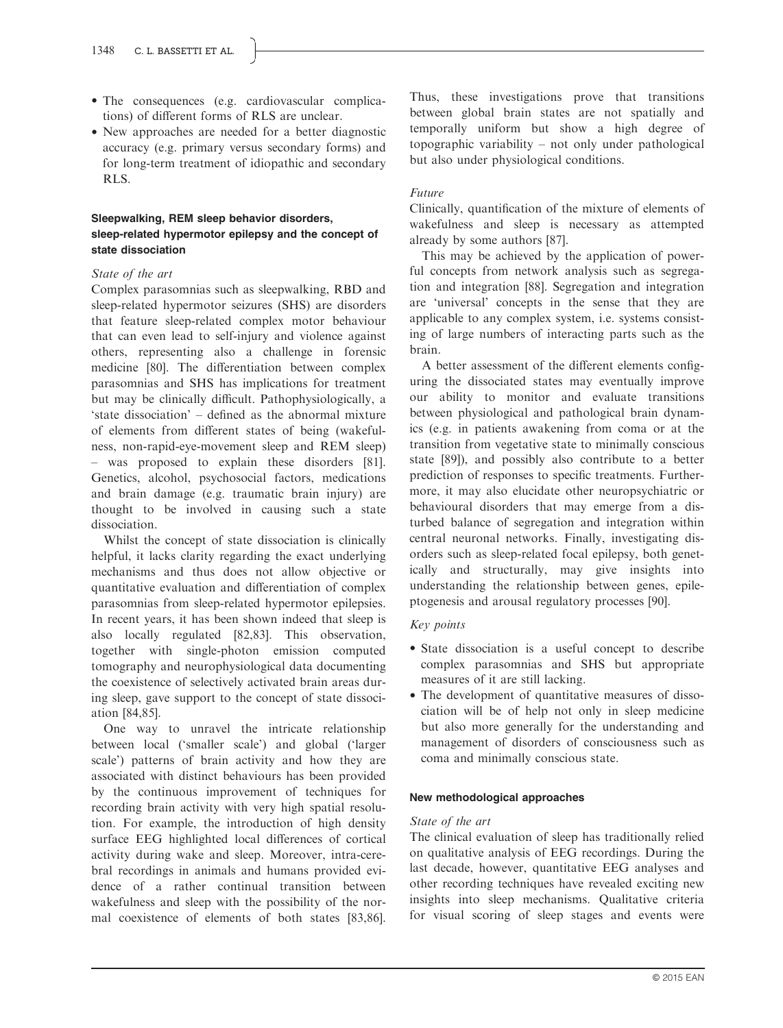- The consequences (e.g. cardiovascular complications) of different forms of RLS are unclear.
- New approaches are needed for a better diagnostic accuracy (e.g. primary versus secondary forms) and for long-term treatment of idiopathic and secondary RLS.

# Sleepwalking, REM sleep behavior disorders, sleep-related hypermotor epilepsy and the concept of state dissociation

### State of the art

Complex parasomnias such as sleepwalking, RBD and sleep-related hypermotor seizures (SHS) are disorders that feature sleep-related complex motor behaviour that can even lead to self-injury and violence against others, representing also a challenge in forensic medicine [80]. The differentiation between complex parasomnias and SHS has implications for treatment but may be clinically difficult. Pathophysiologically, a 'state dissociation' – defined as the abnormal mixture of elements from different states of being (wakefulness, non-rapid-eye-movement sleep and REM sleep) – was proposed to explain these disorders [81]. Genetics, alcohol, psychosocial factors, medications and brain damage (e.g. traumatic brain injury) are thought to be involved in causing such a state dissociation.

Whilst the concept of state dissociation is clinically helpful, it lacks clarity regarding the exact underlying mechanisms and thus does not allow objective or quantitative evaluation and differentiation of complex parasomnias from sleep-related hypermotor epilepsies. In recent years, it has been shown indeed that sleep is also locally regulated [82,83]. This observation, together with single-photon emission computed tomography and neurophysiological data documenting the coexistence of selectively activated brain areas during sleep, gave support to the concept of state dissociation [84,85].

One way to unravel the intricate relationship between local ('smaller scale') and global ('larger scale') patterns of brain activity and how they are associated with distinct behaviours has been provided by the continuous improvement of techniques for recording brain activity with very high spatial resolution. For example, the introduction of high density surface EEG highlighted local differences of cortical activity during wake and sleep. Moreover, intra-cerebral recordings in animals and humans provided evidence of a rather continual transition between wakefulness and sleep with the possibility of the normal coexistence of elements of both states [83,86]. Thus, these investigations prove that transitions between global brain states are not spatially and temporally uniform but show a high degree of topographic variability – not only under pathological but also under physiological conditions.

# Future

Clinically, quantification of the mixture of elements of wakefulness and sleep is necessary as attempted already by some authors [87].

This may be achieved by the application of powerful concepts from network analysis such as segregation and integration [88]. Segregation and integration are 'universal' concepts in the sense that they are applicable to any complex system, i.e. systems consisting of large numbers of interacting parts such as the brain.

A better assessment of the different elements configuring the dissociated states may eventually improve our ability to monitor and evaluate transitions between physiological and pathological brain dynamics (e.g. in patients awakening from coma or at the transition from vegetative state to minimally conscious state [89]), and possibly also contribute to a better prediction of responses to specific treatments. Furthermore, it may also elucidate other neuropsychiatric or behavioural disorders that may emerge from a disturbed balance of segregation and integration within central neuronal networks. Finally, investigating disorders such as sleep-related focal epilepsy, both genetically and structurally, may give insights into understanding the relationship between genes, epileptogenesis and arousal regulatory processes [90].

# Key points

- State dissociation is a useful concept to describe complex parasomnias and SHS but appropriate measures of it are still lacking.
- The development of quantitative measures of dissociation will be of help not only in sleep medicine but also more generally for the understanding and management of disorders of consciousness such as coma and minimally conscious state.

### New methodological approaches

# State of the art

The clinical evaluation of sleep has traditionally relied on qualitative analysis of EEG recordings. During the last decade, however, quantitative EEG analyses and other recording techniques have revealed exciting new insights into sleep mechanisms. Qualitative criteria for visual scoring of sleep stages and events were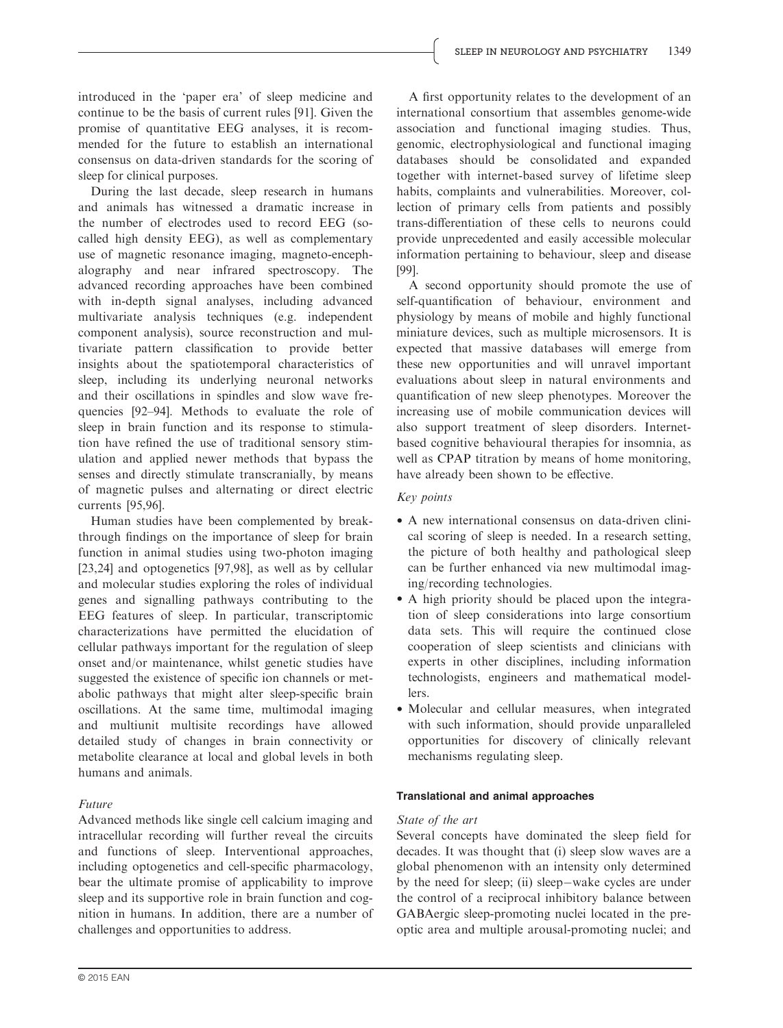introduced in the 'paper era' of sleep medicine and continue to be the basis of current rules [91]. Given the promise of quantitative EEG analyses, it is recommended for the future to establish an international consensus on data-driven standards for the scoring of sleep for clinical purposes.

During the last decade, sleep research in humans and animals has witnessed a dramatic increase in the number of electrodes used to record EEG (socalled high density EEG), as well as complementary use of magnetic resonance imaging, magneto-encephalography and near infrared spectroscopy. The advanced recording approaches have been combined with in-depth signal analyses, including advanced multivariate analysis techniques (e.g. independent component analysis), source reconstruction and multivariate pattern classification to provide better insights about the spatiotemporal characteristics of sleep, including its underlying neuronal networks and their oscillations in spindles and slow wave frequencies [92–94]. Methods to evaluate the role of sleep in brain function and its response to stimulation have refined the use of traditional sensory stimulation and applied newer methods that bypass the senses and directly stimulate transcranially, by means of magnetic pulses and alternating or direct electric currents [95,96].

Human studies have been complemented by breakthrough findings on the importance of sleep for brain function in animal studies using two-photon imaging [23,24] and optogenetics [97,98], as well as by cellular and molecular studies exploring the roles of individual genes and signalling pathways contributing to the EEG features of sleep. In particular, transcriptomic characterizations have permitted the elucidation of cellular pathways important for the regulation of sleep onset and/or maintenance, whilst genetic studies have suggested the existence of specific ion channels or metabolic pathways that might alter sleep-specific brain oscillations. At the same time, multimodal imaging and multiunit multisite recordings have allowed detailed study of changes in brain connectivity or metabolite clearance at local and global levels in both humans and animals.

### Future

Advanced methods like single cell calcium imaging and intracellular recording will further reveal the circuits and functions of sleep. Interventional approaches, including optogenetics and cell-specific pharmacology, bear the ultimate promise of applicability to improve sleep and its supportive role in brain function and cognition in humans. In addition, there are a number of challenges and opportunities to address.

A first opportunity relates to the development of an international consortium that assembles genome-wide association and functional imaging studies. Thus, genomic, electrophysiological and functional imaging databases should be consolidated and expanded together with internet-based survey of lifetime sleep habits, complaints and vulnerabilities. Moreover, collection of primary cells from patients and possibly trans-differentiation of these cells to neurons could provide unprecedented and easily accessible molecular information pertaining to behaviour, sleep and disease [99].

A second opportunity should promote the use of self-quantification of behaviour, environment and physiology by means of mobile and highly functional miniature devices, such as multiple microsensors. It is expected that massive databases will emerge from these new opportunities and will unravel important evaluations about sleep in natural environments and quantification of new sleep phenotypes. Moreover the increasing use of mobile communication devices will also support treatment of sleep disorders. Internetbased cognitive behavioural therapies for insomnia, as well as CPAP titration by means of home monitoring, have already been shown to be effective.

### Key points

- A new international consensus on data-driven clinical scoring of sleep is needed. In a research setting, the picture of both healthy and pathological sleep can be further enhanced via new multimodal imaging/recording technologies.
- A high priority should be placed upon the integration of sleep considerations into large consortium data sets. This will require the continued close cooperation of sleep scientists and clinicians with experts in other disciplines, including information technologists, engineers and mathematical modellers.
- Molecular and cellular measures, when integrated with such information, should provide unparalleled opportunities for discovery of clinically relevant mechanisms regulating sleep.

### Translational and animal approaches

### State of the art

Several concepts have dominated the sleep field for decades. It was thought that (i) sleep slow waves are a global phenomenon with an intensity only determined by the need for sleep; (ii) sleep-wake cycles are under the control of a reciprocal inhibitory balance between GABAergic sleep-promoting nuclei located in the preoptic area and multiple arousal-promoting nuclei; and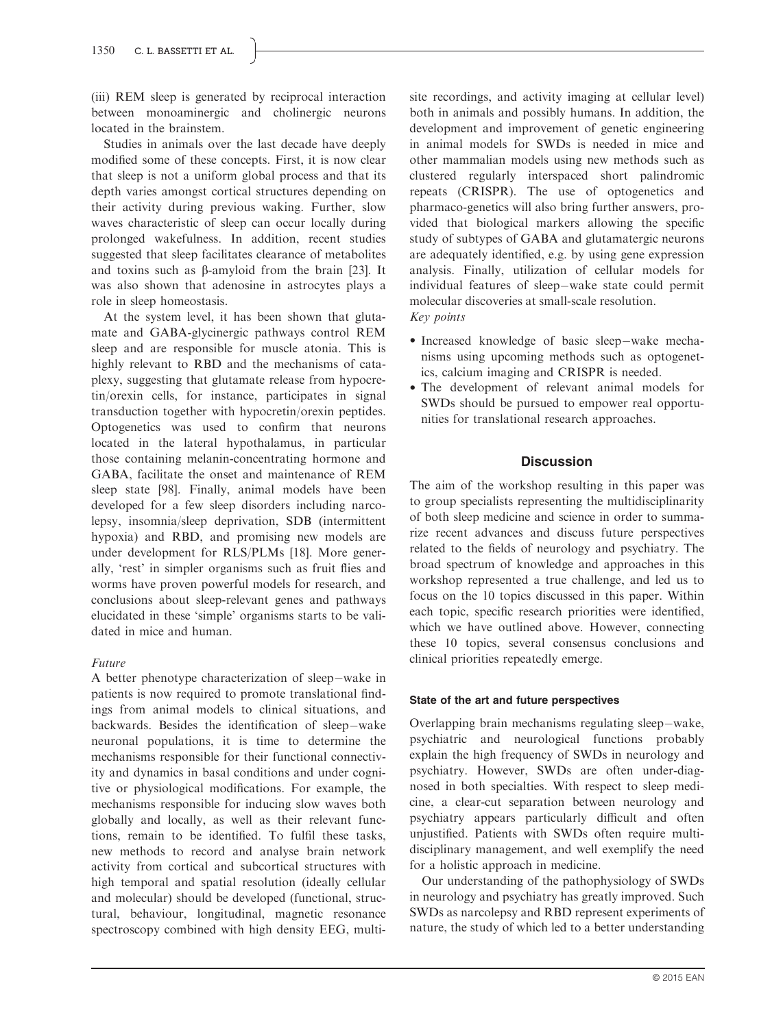(iii) REM sleep is generated by reciprocal interaction between monoaminergic and cholinergic neurons located in the brainstem.

Studies in animals over the last decade have deeply modified some of these concepts. First, it is now clear that sleep is not a uniform global process and that its depth varies amongst cortical structures depending on their activity during previous waking. Further, slow waves characteristic of sleep can occur locally during prolonged wakefulness. In addition, recent studies suggested that sleep facilitates clearance of metabolites and toxins such as  $\beta$ -amyloid from the brain [23]. It was also shown that adenosine in astrocytes plays a role in sleep homeostasis.

At the system level, it has been shown that glutamate and GABA-glycinergic pathways control REM sleep and are responsible for muscle atonia. This is highly relevant to RBD and the mechanisms of cataplexy, suggesting that glutamate release from hypocretin/orexin cells, for instance, participates in signal transduction together with hypocretin/orexin peptides. Optogenetics was used to confirm that neurons located in the lateral hypothalamus, in particular those containing melanin-concentrating hormone and GABA, facilitate the onset and maintenance of REM sleep state [98]. Finally, animal models have been developed for a few sleep disorders including narcolepsy, insomnia/sleep deprivation, SDB (intermittent hypoxia) and RBD, and promising new models are under development for RLS/PLMs [18]. More generally, 'rest' in simpler organisms such as fruit flies and worms have proven powerful models for research, and conclusions about sleep-relevant genes and pathways elucidated in these 'simple' organisms starts to be validated in mice and human.

# Future

A better phenotype characterization of sleep-wake in patients is now required to promote translational findings from animal models to clinical situations, and backwards. Besides the identification of sleep-wake neuronal populations, it is time to determine the mechanisms responsible for their functional connectivity and dynamics in basal conditions and under cognitive or physiological modifications. For example, the mechanisms responsible for inducing slow waves both globally and locally, as well as their relevant functions, remain to be identified. To fulfil these tasks, new methods to record and analyse brain network activity from cortical and subcortical structures with high temporal and spatial resolution (ideally cellular and molecular) should be developed (functional, structural, behaviour, longitudinal, magnetic resonance spectroscopy combined with high density EEG, multisite recordings, and activity imaging at cellular level) both in animals and possibly humans. In addition, the development and improvement of genetic engineering in animal models for SWDs is needed in mice and other mammalian models using new methods such as clustered regularly interspaced short palindromic repeats (CRISPR). The use of optogenetics and pharmaco-genetics will also bring further answers, provided that biological markers allowing the specific study of subtypes of GABA and glutamatergic neurons are adequately identified, e.g. by using gene expression analysis. Finally, utilization of cellular models for individual features of sleep-wake state could permit molecular discoveries at small-scale resolution. Key points

- $\bullet$  Increased knowledge of basic sleep-wake mechanisms using upcoming methods such as optogenetics, calcium imaging and CRISPR is needed.
- The development of relevant animal models for SWDs should be pursued to empower real opportunities for translational research approaches.

# **Discussion**

The aim of the workshop resulting in this paper was to group specialists representing the multidisciplinarity of both sleep medicine and science in order to summarize recent advances and discuss future perspectives related to the fields of neurology and psychiatry. The broad spectrum of knowledge and approaches in this workshop represented a true challenge, and led us to focus on the 10 topics discussed in this paper. Within each topic, specific research priorities were identified, which we have outlined above. However, connecting these 10 topics, several consensus conclusions and clinical priorities repeatedly emerge.

### State of the art and future perspectives

Overlapping brain mechanisms regulating sleep-wake, psychiatric and neurological functions probably explain the high frequency of SWDs in neurology and psychiatry. However, SWDs are often under-diagnosed in both specialties. With respect to sleep medicine, a clear-cut separation between neurology and psychiatry appears particularly difficult and often unjustified. Patients with SWDs often require multidisciplinary management, and well exemplify the need for a holistic approach in medicine.

Our understanding of the pathophysiology of SWDs in neurology and psychiatry has greatly improved. Such SWDs as narcolepsy and RBD represent experiments of nature, the study of which led to a better understanding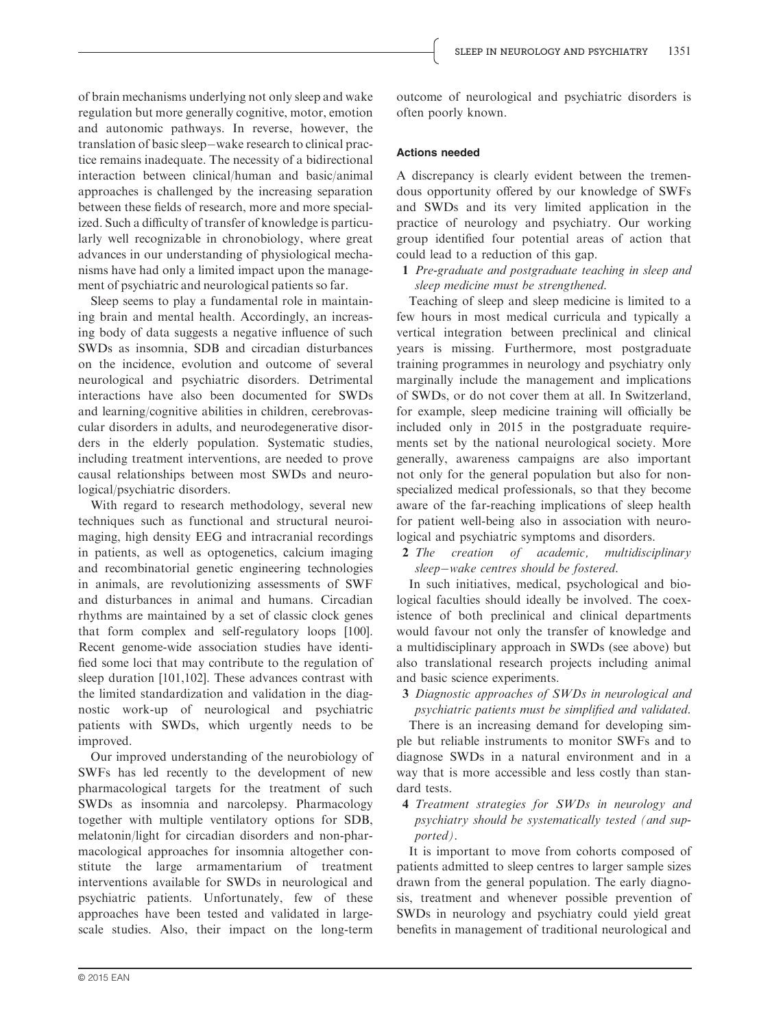of brain mechanisms underlying not only sleep and wake regulation but more generally cognitive, motor, emotion and autonomic pathways. In reverse, however, the translation of basic sleep-wake research to clinical practice remains inadequate. The necessity of a bidirectional interaction between clinical/human and basic/animal approaches is challenged by the increasing separation between these fields of research, more and more specialized. Such a difficulty of transfer of knowledge is particularly well recognizable in chronobiology, where great advances in our understanding of physiological mechanisms have had only a limited impact upon the management of psychiatric and neurological patients so far.

Sleep seems to play a fundamental role in maintaining brain and mental health. Accordingly, an increasing body of data suggests a negative influence of such SWDs as insomnia, SDB and circadian disturbances on the incidence, evolution and outcome of several neurological and psychiatric disorders. Detrimental interactions have also been documented for SWDs and learning/cognitive abilities in children, cerebrovascular disorders in adults, and neurodegenerative disorders in the elderly population. Systematic studies, including treatment interventions, are needed to prove causal relationships between most SWDs and neurological/psychiatric disorders.

With regard to research methodology, several new techniques such as functional and structural neuroimaging, high density EEG and intracranial recordings in patients, as well as optogenetics, calcium imaging and recombinatorial genetic engineering technologies in animals, are revolutionizing assessments of SWF and disturbances in animal and humans. Circadian rhythms are maintained by a set of classic clock genes that form complex and self-regulatory loops [100]. Recent genome-wide association studies have identified some loci that may contribute to the regulation of sleep duration [101,102]. These advances contrast with the limited standardization and validation in the diagnostic work-up of neurological and psychiatric patients with SWDs, which urgently needs to be improved.

Our improved understanding of the neurobiology of SWFs has led recently to the development of new pharmacological targets for the treatment of such SWDs as insomnia and narcolepsy. Pharmacology together with multiple ventilatory options for SDB, melatonin/light for circadian disorders and non-pharmacological approaches for insomnia altogether constitute the large armamentarium of treatment interventions available for SWDs in neurological and psychiatric patients. Unfortunately, few of these approaches have been tested and validated in largescale studies. Also, their impact on the long-term

outcome of neurological and psychiatric disorders is often poorly known.

### Actions needed

A discrepancy is clearly evident between the tremendous opportunity offered by our knowledge of SWFs and SWDs and its very limited application in the practice of neurology and psychiatry. Our working group identified four potential areas of action that could lead to a reduction of this gap.

1 Pre-graduate and postgraduate teaching in sleep and sleep medicine must be strengthened.

Teaching of sleep and sleep medicine is limited to a few hours in most medical curricula and typically a vertical integration between preclinical and clinical years is missing. Furthermore, most postgraduate training programmes in neurology and psychiatry only marginally include the management and implications of SWDs, or do not cover them at all. In Switzerland, for example, sleep medicine training will officially be included only in 2015 in the postgraduate requirements set by the national neurological society. More generally, awareness campaigns are also important not only for the general population but also for nonspecialized medical professionals, so that they become aware of the far-reaching implications of sleep health for patient well-being also in association with neurological and psychiatric symptoms and disorders.

**2** The creation of academic, multidisciplinary<br>sleep-wake centres should be fostered.

In such initiatives, medical, psychological and biological faculties should ideally be involved. The coexistence of both preclinical and clinical departments would favour not only the transfer of knowledge and a multidisciplinary approach in SWDs (see above) but also translational research projects including animal and basic science experiments.

3 Diagnostic approaches of SWDs in neurological and psychiatric patients must be simplified and validated.

There is an increasing demand for developing simple but reliable instruments to monitor SWFs and to diagnose SWDs in a natural environment and in a way that is more accessible and less costly than standard tests.

4 Treatment strategies for SWDs in neurology and psychiatry should be systematically tested (and supported).

It is important to move from cohorts composed of patients admitted to sleep centres to larger sample sizes drawn from the general population. The early diagnosis, treatment and whenever possible prevention of SWDs in neurology and psychiatry could yield great benefits in management of traditional neurological and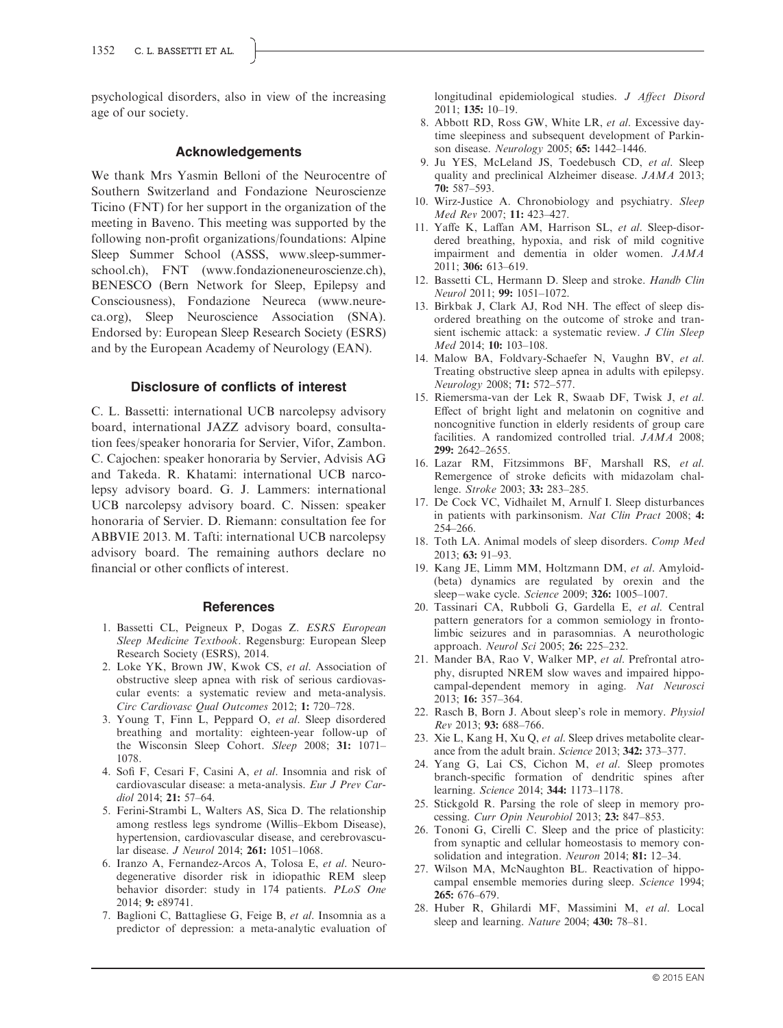psychological disorders, also in view of the increasing age of our society.

### Acknowledgements

We thank Mrs Yasmin Belloni of the Neurocentre of Southern Switzerland and Fondazione Neuroscienze Ticino (FNT) for her support in the organization of the meeting in Baveno. This meeting was supported by the following non-profit organizations/foundations: Alpine Sleep Summer School (ASSS, [www.sleep-summer](http://www.sleep-summer-school.ch)[school.ch](http://www.sleep-summer-school.ch)), FNT ([www.fondazioneneuroscienze.ch\)](http://www.fondazioneneuroscienze.ch), BENESCO (Bern Network for Sleep, Epilepsy and Consciousness), Fondazione Neureca [\(www.neure](http://www.neureca.org)[ca.org](http://www.neureca.org)), Sleep Neuroscience Association (SNA). Endorsed by: European Sleep Research Society (ESRS) and by the European Academy of Neurology (EAN).

### Disclosure of conflicts of interest

C. L. Bassetti: international UCB narcolepsy advisory board, international JAZZ advisory board, consultation fees/speaker honoraria for Servier, Vifor, Zambon. C. Cajochen: speaker honoraria by Servier, Advisis AG and Takeda. R. Khatami: international UCB narcolepsy advisory board. G. J. Lammers: international UCB narcolepsy advisory board. C. Nissen: speaker honoraria of Servier. D. Riemann: consultation fee for ABBVIE 2013. M. Tafti: international UCB narcolepsy advisory board. The remaining authors declare no financial or other conflicts of interest.

### **References**

- 1. Bassetti CL, Peigneux P, Dogas Z. ESRS European Sleep Medicine Textbook. Regensburg: European Sleep Research Society (ESRS), 2014.
- 2. Loke YK, Brown JW, Kwok CS, et al. Association of obstructive sleep apnea with risk of serious cardiovascular events: a systematic review and meta-analysis. Circ Cardiovasc Qual Outcomes 2012; 1: <sup>720</sup>–728.
- 3. Young T, Finn L, Peppard O, et al. Sleep disordered breathing and mortality: eighteen-year follow-up of the Wisconsin Sleep Cohort. Sleep 2008; 31: <sup>1071</sup>– 1078.
- 4. Sofi F, Cesari F, Casini A, et al. Insomnia and risk of cardiovascular disease: a meta-analysis. Eur J Prev Cardiol 2014; 21: <sup>57</sup>–64.
- 5. Ferini-Strambi L, Walters AS, Sica D. The relationship among restless legs syndrome (Willis–Ekbom Disease), hypertension, cardiovascular disease, and cerebrovascular disease. J Neurol 2014; 261: <sup>1051</sup>–1068.
- 6. Iranzo A, Fernandez-Arcos A, Tolosa E, et al. Neurodegenerative disorder risk in idiopathic REM sleep behavior disorder: study in 174 patients. PLoS One 2014; 9: e89741.
- 7. Baglioni C, Battagliese G, Feige B, et al. Insomnia as a predictor of depression: a meta-analytic evaluation of

longitudinal epidemiological studies. J Affect Disord 2011; 135: <sup>10</sup>–19.

- 8. Abbott RD, Ross GW, White LR, et al. Excessive daytime sleepiness and subsequent development of Parkinson disease. Neurology 2005; 65: <sup>1442</sup>–1446.
- 9. Ju YES, McLeland JS, Toedebusch CD, et al. Sleep quality and preclinical Alzheimer disease. JAMA 2013;
- 70: <sup>587</sup>–593. 10. Wirz-Justice A. Chronobiology and psychiatry. Sleep Med Rev 2007; 11: <sup>423</sup>–427.
- 11. Yaffe K, Laffan AM, Harrison SL, et al. Sleep-disordered breathing, hypoxia, and risk of mild cognitive impairment and dementia in older women. JAMA 2011; 306: <sup>613</sup>–619.
- 12. Bassetti CL, Hermann D. Sleep and stroke. Handb Clin Neurol 2011; 99: <sup>1051</sup>–1072.
- 13. Birkbak J, Clark AJ, Rod NH. The effect of sleep disordered breathing on the outcome of stroke and transient ischemic attack: a systematic review. J Clin Sleep Med 2014; 10: <sup>103</sup>–108.
- 14. Malow BA, Foldvary-Schaefer N, Vaughn BV, et al. Treating obstructive sleep apnea in adults with epilepsy. Neurology 2008; 71: <sup>572</sup>–577.
- 15. Riemersma-van der Lek R, Swaab DF, Twisk J, et al. Effect of bright light and melatonin on cognitive and noncognitive function in elderly residents of group care facilities. A randomized controlled trial. JAMA 2008;
- 299: <sup>2642</sup>–2655. 16. Lazar RM, Fitzsimmons BF, Marshall RS, et al. Remergence of stroke deficits with midazolam challenge. Stroke 2003; 33: <sup>283</sup>–285.
- 17. De Cock VC, Vidhailet M, Arnulf I. Sleep disturbances in patients with parkinsonism. Nat Clin Pract 2008; 4: 254–266.
- 18. Toth LA. Animal models of sleep disorders. Comp Med 2013; 63: <sup>91</sup>–93.
- 19. Kang JE, Limm MM, Holtzmann DM, et al. Amyloid- (beta) dynamics are regulated by orexin and the sleep-wake cycle. Science 2009; 326: 1005-1007.
- 20. Tassinari CA, Rubboli G, Gardella E, et al. Central pattern generators for a common semiology in frontolimbic seizures and in parasomnias. A neurothologic approach. Neurol Sci 2005; 26: <sup>225</sup>–232.
- 21. Mander BA, Rao V, Walker MP, et al. Prefrontal atrophy, disrupted NREM slow waves and impaired hippocampal-dependent memory in aging. Nat Neurosci 2013; 16: <sup>357</sup>–364.
- 22. Rasch B, Born J. About sleep's role in memory. Physiol Rev 2013; 93: <sup>688</sup>–766.
- 23. Xie L, Kang H, Xu Q, et al. Sleep drives metabolite clearance from the adult brain. Science 2013; 342: <sup>373</sup>–377.
- 24. Yang G, Lai CS, Cichon M, et al. Sleep promotes branch-specific formation of dendritic spines after learning. Science 2014; 344: <sup>1173</sup>–1178.
- 25. Stickgold R. Parsing the role of sleep in memory processing. Curr Opin Neurobiol 2013; 23: <sup>847</sup>–853.
- 26. Tononi G, Cirelli C. Sleep and the price of plasticity: from synaptic and cellular homeostasis to memory consolidation and integration. Neuron 2014; 81: 12-34.
- 27. Wilson MA, McNaughton BL. Reactivation of hippocampal ensemble memories during sleep. Science 1994;
- 265: <sup>676</sup>–679. 28. Huber R, Ghilardi MF, Massimini M, et al. Local sleep and learning. *Nature* 2004; **430:** 78–81.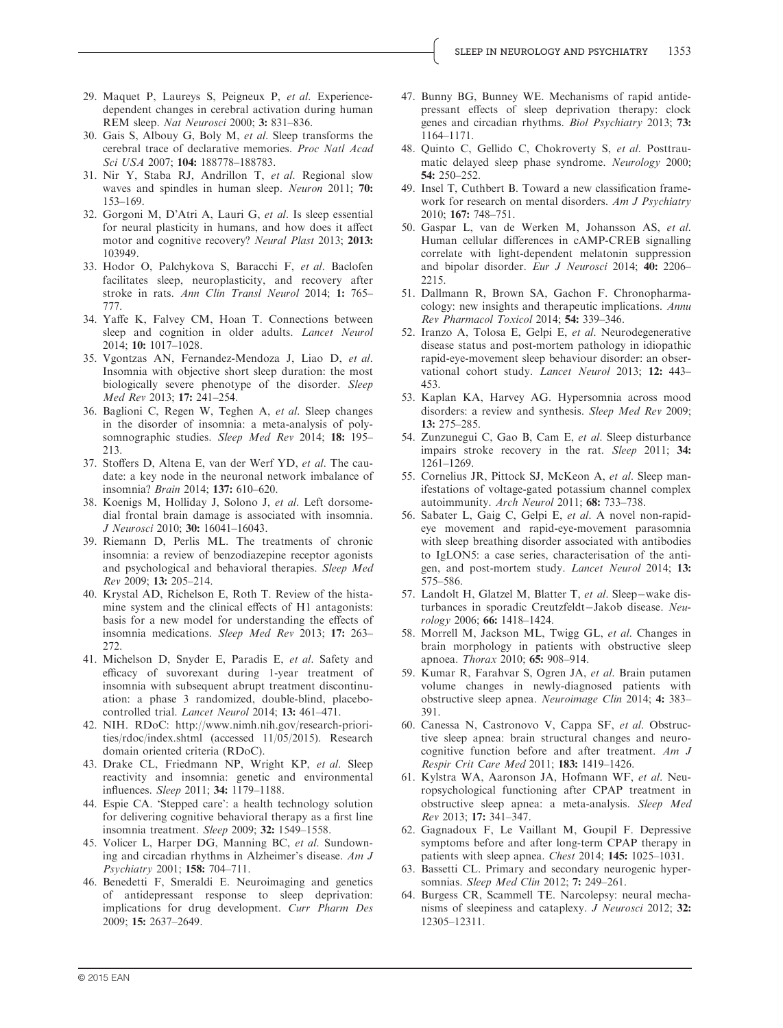- 29. Maquet P, Laureys S, Peigneux P, et al. Experiencedependent changes in cerebral activation during human REM sleep. Nat Neurosci 2000; 3: <sup>831</sup>–836.
- 30. Gais S, Albouy G, Boly M, et al. Sleep transforms the cerebral trace of declarative memories. Proc Natl Acad Sci USA 2007; 104: <sup>188778</sup>–188783.
- 31. Nir Y, Staba RJ, Andrillon T, et al. Regional slow waves and spindles in human sleep. Neuron 2011; **70:** 153–169.
- 32. Gorgoni M, D'Atri A, Lauri G, et al. Is sleep essential for neural plasticity in humans, and how does it affect motor and cognitive recovery? Neural Plast 2013; 2013: 103949.
- 33. Hodor O, Palchykova S, Baracchi F, et al. Baclofen facilitates sleep, neuroplasticity, and recovery after stroke in rats. Ann Clin Transl Neurol 2014; 1: <sup>765</sup>– 777.
- 34. Yaffe K, Falvey CM, Hoan T. Connections between sleep and cognition in older adults. Lancet Neurol 2014; 10: <sup>1017</sup>–1028.
- 35. Vgontzas AN, Fernandez-Mendoza J, Liao D, et al. Insomnia with objective short sleep duration: the most biologically severe phenotype of the disorder. Sleep Med Rev 2013; 17: <sup>241</sup>–254.
- 36. Baglioni C, Regen W, Teghen A, et al. Sleep changes in the disorder of insomnia: a meta-analysis of polysomnographic studies. Sleep Med Rev 2014; 18: <sup>195</sup>– 213.
- 37. Stoffers D, Altena E, van der Werf YD, et al. The caudate: a key node in the neuronal network imbalance of insomnia? Brain 2014; 137: <sup>610</sup>–620.
- 38. Koenigs M, Holliday J, Solono J, et al. Left dorsomedial frontal brain damage is associated with insomnia. J Neurosci 2010; 30: <sup>16041</sup>–16043.
- 39. Riemann D, Perlis ML. The treatments of chronic insomnia: a review of benzodiazepine receptor agonists and psychological and behavioral therapies. Sleep Med Rev 2009; 13: <sup>205</sup>–214.
- 40. Krystal AD, Richelson E, Roth T. Review of the histamine system and the clinical effects of H1 antagonists: basis for a new model for understanding the effects of insomnia medications. Sleep Med Rev 2013; 17: <sup>263</sup>– 272.
- 41. Michelson D, Snyder E, Paradis E, et al. Safety and efficacy of suvorexant during 1-year treatment of insomnia with subsequent abrupt treatment discontinuation: a phase 3 randomized, double-blind, placebocontrolled trial. Lancet Neurol 2014; 13: <sup>461</sup>–471.
- 42. NIH. RDoC: [http://www.nimh.nih.gov/research-priori](http://www.nimh.nih.gov/research-priorities/rdoc/index.shtml)[ties/rdoc/index.shtml](http://www.nimh.nih.gov/research-priorities/rdoc/index.shtml) (accessed 11/05/2015). Research domain oriented criteria (RDoC).
- 43. Drake CL, Friedmann NP, Wright KP, et al. Sleep reactivity and insomnia: genetic and environmental influences. Sleep 2011; 34: <sup>1179</sup>–1188.
- 44. Espie CA. 'Stepped care': a health technology solution for delivering cognitive behavioral therapy as a first line insomnia treatment. Sleep 2009; 32: <sup>1549</sup>–1558.
- 45. Volicer L, Harper DG, Manning BC, et al. Sundowning and circadian rhythms in Alzheimer's disease. Am J Psychiatry 2001; 158: <sup>704</sup>–711.
- 46. Benedetti F, Smeraldi E. Neuroimaging and genetics of antidepressant response to sleep deprivation: implications for drug development. Curr Pharm Des 2009; 15: <sup>2637</sup>–2649.
- 47. Bunny BG, Bunney WE. Mechanisms of rapid antidepressant effects of sleep deprivation therapy: clock genes and circadian rhythms. Biol Psychiatry 2013; 73: 1164–1171.
- 48. Quinto C, Gellido C, Chokroverty S, et al. Posttraumatic delayed sleep phase syndrome. Neurology 2000; 54: <sup>250</sup>–252.
- 49. Insel T, Cuthbert B. Toward a new classification framework for research on mental disorders. Am J Psychiatry 2010; 167: <sup>748</sup>–751.
- 50. Gaspar L, van de Werken M, Johansson AS, et al. Human cellular differences in cAMP-CREB signalling correlate with light-dependent melatonin suppression and bipolar disorder. Eur J Neurosci 2014; 40: <sup>2206</sup>– 2215.
- 51. Dallmann R, Brown SA, Gachon F. Chronopharmacology: new insights and therapeutic implications. Annu Rev Pharmacol Toxicol 2014; 54: <sup>339</sup>–346.
- 52. Iranzo A, Tolosa E, Gelpi E, et al. Neurodegenerative disease status and post-mortem pathology in idiopathic rapid-eye-movement sleep behaviour disorder: an observational cohort study. Lancet Neurol 2013; 12: <sup>443</sup>– 453.
- 53. Kaplan KA, Harvey AG. Hypersomnia across mood disorders: a review and synthesis. Sleep Med Rev 2009; 13: <sup>275</sup>–285.
- 54. Zunzunegui C, Gao B, Cam E, et al. Sleep disturbance impairs stroke recovery in the rat. Sleep 2011; 34: 1261–1269.
- 55. Cornelius JR, Pittock SJ, McKeon A, et al. Sleep manifestations of voltage-gated potassium channel complex autoimmunity. Arch Neurol 2011; 68: <sup>733</sup>–738.
- 56. Sabater L, Gaig C, Gelpi E, et al. A novel non-rapideye movement and rapid-eye-movement parasomnia with sleep breathing disorder associated with antibodies to IgLON5: a case series, characterisation of the antigen, and post-mortem study. Lancet Neurol 2014; 13: 575–586.
- 57. Landolt H, Glatzel M, Blatter T, et al. Sleep-wake disturbances in sporadic Creutzfeldt-Jakob disease. Neurology 2006; 66: <sup>1418</sup>–1424.
- 58. Morrell M, Jackson ML, Twigg GL, et al. Changes in brain morphology in patients with obstructive sleep apnoea. Thorax 2010; 65: <sup>908</sup>–914.
- 59. Kumar R, Farahvar S, Ogren JA, et al. Brain putamen volume changes in newly-diagnosed patients with obstructive sleep apnea. Neuroimage Clin 2014; 4: <sup>383</sup>– 391.
- 60. Canessa N, Castronovo V, Cappa SF, et al. Obstructive sleep apnea: brain structural changes and neurocognitive function before and after treatment. Am J Respir Crit Care Med 2011; 183: <sup>1419</sup>–1426.
- 61. Kylstra WA, Aaronson JA, Hofmann WF, et al. Neuropsychological functioning after CPAP treatment in obstructive sleep apnea: a meta-analysis. Sleep Med Rev 2013; 17: <sup>341</sup>–347.
- 62. Gagnadoux F, Le Vaillant M, Goupil F. Depressive symptoms before and after long-term CPAP therapy in patients with sleep apnea. Chest 2014; 145: <sup>1025</sup>–1031.
- 63. Bassetti CL. Primary and secondary neurogenic hypersomnias. Sleep Med Clin 2012; 7: <sup>249</sup>–261.
- 64. Burgess CR, Scammell TE. Narcolepsy: neural mechanisms of sleepiness and cataplexy. J Neurosci 2012; 32: 12305–12311.